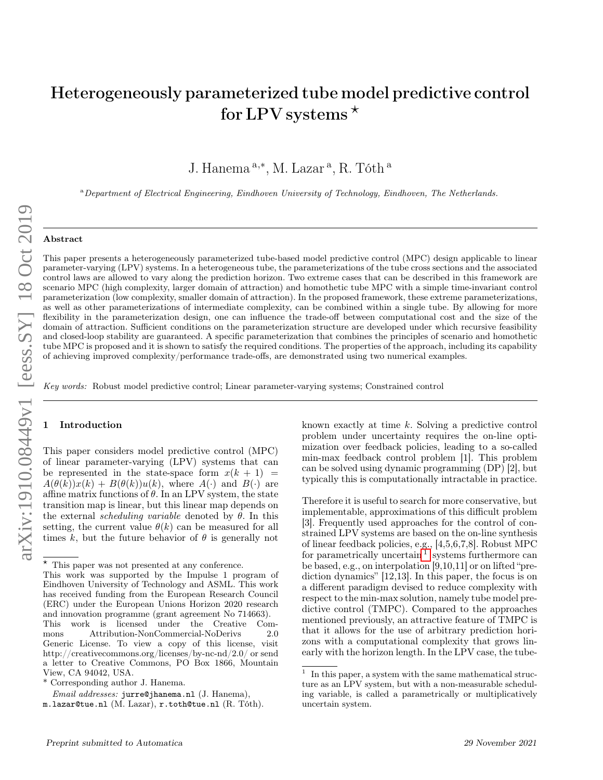# Heterogeneously parameterized tube model predictive control for LPV systems  $*$

J. Hanema<sup>a,\*</sup>, M. Lazar<sup>a</sup>, R. Tóth<sup>a</sup>

<sup>a</sup>Department of Electrical Engineering, Eindhoven University of Technology, Eindhoven, The Netherlands.

## Abstract

arXiv:1910.08449v1 [eess.SY] 18 Oct 2019 arXiv:1910.08449v1 [eess.SY] 18 Oct 2019

This paper presents a heterogeneously parameterized tube-based model predictive control (MPC) design applicable to linear parameter-varying (LPV) systems. In a heterogeneous tube, the parameterizations of the tube cross sections and the associated control laws are allowed to vary along the prediction horizon. Two extreme cases that can be described in this framework are scenario MPC (high complexity, larger domain of attraction) and homothetic tube MPC with a simple time-invariant control parameterization (low complexity, smaller domain of attraction). In the proposed framework, these extreme parameterizations, as well as other parameterizations of intermediate complexity, can be combined within a single tube. By allowing for more flexibility in the parameterization design, one can influence the trade-off between computational cost and the size of the domain of attraction. Sufficient conditions on the parameterization structure are developed under which recursive feasibility and closed-loop stability are guaranteed. A specific parameterization that combines the principles of scenario and homothetic tube MPC is proposed and it is shown to satisfy the required conditions. The properties of the approach, including its capability of achieving improved complexity/performance trade-offs, are demonstrated using two numerical examples.

Key words: Robust model predictive control; Linear parameter-varying systems; Constrained control

## **Introduction**

This paper considers model predictive control (MPC) of linear parameter-varying (LPV) systems that can be represented in the state-space form  $x(k + 1)$  =  $A(\theta(k))x(k) + B(\theta(k))u(k)$ , where  $A(\cdot)$  and  $B(\cdot)$  are affine matrix functions of  $\theta$ . In an LPV system, the state transition map is linear, but this linear map depends on the external *scheduling variable* denoted by  $\theta$ . In this setting, the current value  $\theta(k)$  can be measured for all times k, but the future behavior of  $\theta$  is generally not known exactly at time k. Solving a predictive control problem under uncertainty requires the on-line optimization over feedback policies, leading to a so-called min-max feedback control problem [1]. This problem can be solved using dynamic programming (DP) [2], but typically this is computationally intractable in practice.

Therefore it is useful to search for more conservative, but implementable, approximations of this difficult problem [3]. Frequently used approaches for the control of constrained LPV systems are based on the on-line synthesis of linear feedback policies, e.g., [4,5,6,7,8]. Robust MPC for parametrically uncertain  $\frac{1}{1}$  $\frac{1}{1}$  $\frac{1}{1}$  systems furthermore can be based, e.g., on interpolation [9,10,11] or on lifted "prediction dynamics" [12,13]. In this paper, the focus is on a different paradigm devised to reduce complexity with respect to the min-max solution, namely tube model predictive control (TMPC). Compared to the approaches mentioned previously, an attractive feature of TMPC is that it allows for the use of arbitrary prediction horizons with a computational complexity that grows linearly with the horizon length. In the LPV case, the tube-

<sup>?</sup> This paper was not presented at any conference.

This work was supported by the Impulse 1 program of Eindhoven University of Technology and ASML. This work has received funding from the European Research Council (ERC) under the European Unions Horizon 2020 research and innovation programme (grant agreement No 714663). This work is licensed under the Creative Commons Attribution-NonCommercial-NoDerivs 2.0 Generic License. To view a copy of this license, visit http://creativecommons.org/licenses/by-nc-nd/2.0/ or send a letter to Creative Commons, PO Box 1866, Mountain View, CA 94042, USA.

<sup>\*</sup> Corresponding author J. Hanema.

Email addresses: jurre@jhanema.nl (J. Hanema),

m.lazar@tue.nl (M. Lazar), r.toth@tue.nl (R. Tóth).

<span id="page-0-0"></span><sup>1</sup> In this paper, a system with the same mathematical structure as an LPV system, but with a non-measurable scheduling variable, is called a parametrically or multiplicatively uncertain system.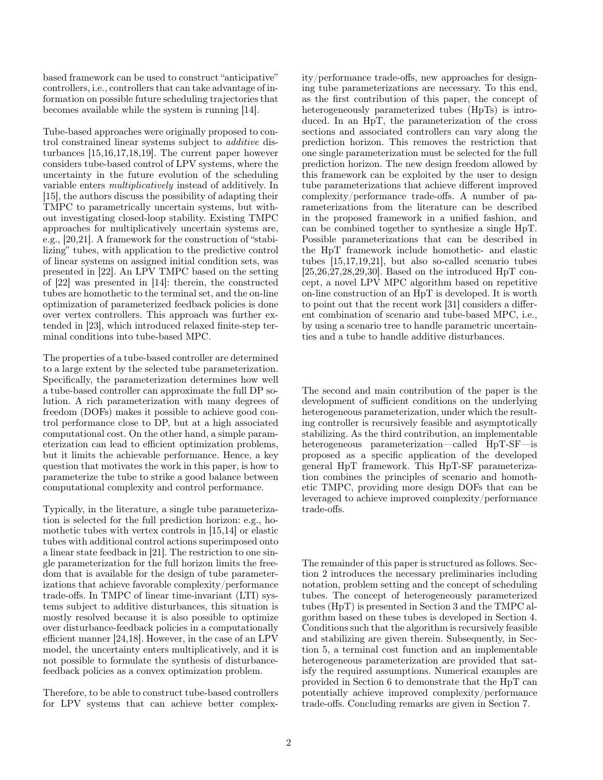based framework can be used to construct "anticipative" controllers, i.e., controllers that can take advantage of information on possible future scheduling trajectories that becomes available while the system is running [14].

Tube-based approaches were originally proposed to control constrained linear systems subject to additive disturbances [15,16,17,18,19]. The current paper however considers tube-based control of LPV systems, where the uncertainty in the future evolution of the scheduling variable enters multiplicatively instead of additively. In [15], the authors discuss the possibility of adapting their TMPC to parametrically uncertain systems, but without investigating closed-loop stability. Existing TMPC approaches for multiplicatively uncertain systems are, e.g., [20,21]. A framework for the construction of "stabilizing" tubes, with application to the predictive control of linear systems on assigned initial condition sets, was presented in [22]. An LPV TMPC based on the setting of [22] was presented in [14]: therein, the constructed tubes are homothetic to the terminal set, and the on-line optimization of parameterized feedback policies is done over vertex controllers. This approach was further extended in [23], which introduced relaxed finite-step terminal conditions into tube-based MPC.

The properties of a tube-based controller are determined to a large extent by the selected tube parameterization. Specifically, the parameterization determines how well a tube-based controller can approximate the full DP solution. A rich parameterization with many degrees of freedom (DOFs) makes it possible to achieve good control performance close to DP, but at a high associated computational cost. On the other hand, a simple parameterization can lead to efficient optimization problems, but it limits the achievable performance. Hence, a key question that motivates the work in this paper, is how to parameterize the tube to strike a good balance between computational complexity and control performance.

Typically, in the literature, a single tube parameterization is selected for the full prediction horizon: e.g., homothetic tubes with vertex controls in [15,14] or elastic tubes with additional control actions superimposed onto a linear state feedback in [21]. The restriction to one single parameterization for the full horizon limits the freedom that is available for the design of tube parameterizations that achieve favorable complexity/performance trade-offs. In TMPC of linear time-invariant (LTI) systems subject to additive disturbances, this situation is mostly resolved because it is also possible to optimize over disturbance-feedback policies in a computationally efficient manner [24,18]. However, in the case of an LPV model, the uncertainty enters multiplicatively, and it is not possible to formulate the synthesis of disturbancefeedback policies as a convex optimization problem.

Therefore, to be able to construct tube-based controllers for LPV systems that can achieve better complexity/performance trade-offs, new approaches for designing tube parameterizations are necessary. To this end, as the first contribution of this paper, the concept of heterogeneously parameterized tubes (HpTs) is introduced. In an HpT, the parameterization of the cross sections and associated controllers can vary along the prediction horizon. This removes the restriction that one single parameterization must be selected for the full prediction horizon. The new design freedom allowed by this framework can be exploited by the user to design tube parameterizations that achieve different improved complexity/performance trade-offs. A number of parameterizations from the literature can be described in the proposed framework in a unified fashion, and can be combined together to synthesize a single HpT. Possible parameterizations that can be described in the HpT framework include homothetic- and elastic tubes [15,17,19,21], but also so-called scenario tubes [25,26,27,28,29,30]. Based on the introduced HpT concept, a novel LPV MPC algorithm based on repetitive on-line construction of an HpT is developed. It is worth to point out that the recent work [31] considers a different combination of scenario and tube-based MPC, i.e., by using a scenario tree to handle parametric uncertainties and a tube to handle additive disturbances.

The second and main contribution of the paper is the development of sufficient conditions on the underlying heterogeneous parameterization, under which the resulting controller is recursively feasible and asymptotically stabilizing. As the third contribution, an implementable heterogeneous parameterization—called HpT-SF—is proposed as a specific application of the developed general HpT framework. This HpT-SF parameterization combines the principles of scenario and homothetic TMPC, providing more design DOFs that can be leveraged to achieve improved complexity/performance trade-offs.

The remainder of this paper is structured as follows. Section 2 introduces the necessary preliminaries including notation, problem setting and the concept of scheduling tubes. The concept of heterogeneously parameterized tubes (HpT) is presented in Section 3 and the TMPC algorithm based on these tubes is developed in Section 4. Conditions such that the algorithm is recursively feasible and stabilizing are given therein. Subsequently, in Section 5, a terminal cost function and an implementable heterogeneous parameterization are provided that satisfy the required assumptions. Numerical examples are provided in Section 6 to demonstrate that the HpT can potentially achieve improved complexity/performance trade-offs. Concluding remarks are given in Section 7.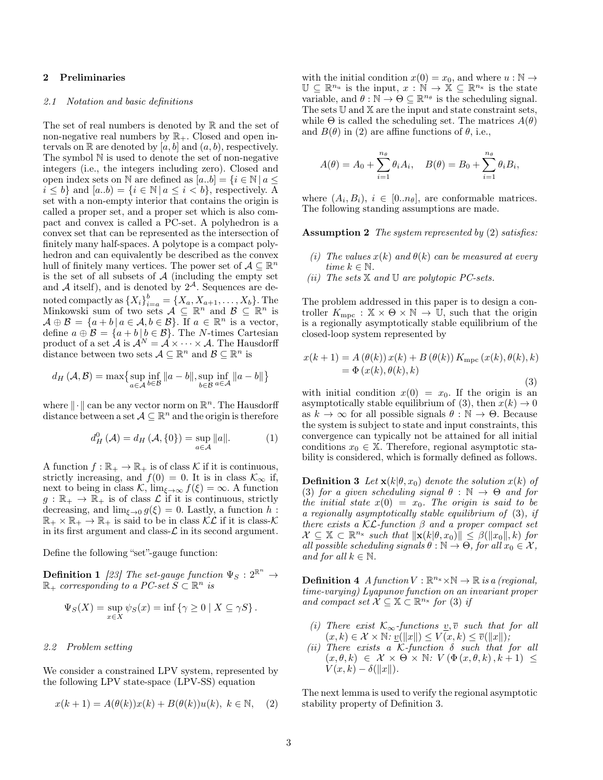# 2 Preliminaries

# 2.1 Notation and basic definitions

The set of real numbers is denoted by  $\mathbb R$  and the set of non-negative real numbers by  $\mathbb{R}_+$ . Closed and open intervals on  $\mathbb R$  are denoted by  $[a, b]$  and  $(a, b)$ , respectively. The symbol N is used to denote the set of non-negative integers (i.e., the integers including zero). Closed and open index sets on N are defined as  $[a..b] = \{i \in \mathbb{N} \mid a \leq$  $i \leq b$  and  $[a,b) = \{i \in \mathbb{N} \mid a \leq i < b\}$ , respectively. A set with a non-empty interior that contains the origin is called a proper set, and a proper set which is also compact and convex is called a PC-set. A polyhedron is a convex set that can be represented as the intersection of finitely many half-spaces. A polytope is a compact polyhedron and can equivalently be described as the convex hull of finitely many vertices. The power set of  $A \subseteq \mathbb{R}^n$ is the set of all subsets of  $A$  (including the empty set and A itself), and is denoted by  $2^{\mathcal{A}}$ . Sequences are denoted compactly as  $\{X_i\}_{i=a}^b = \{X_a, X_{a+1}, \ldots, X_b\}$ . The Minkowski sum of two sets  $\mathcal{A} \subseteq \mathbb{R}^n$  and  $\mathcal{B} \subseteq \mathbb{R}^n$  is  $\mathcal{A} \oplus \mathcal{B} = \{a+b \mid a \in \mathcal{A}, b \in \mathcal{B}\}.$  If  $a \in \mathbb{R}^n$  is a vector, define  $a \oplus B = \{a + b \mid b \in B\}$ . The N-times Cartesian product of a set  $\mathcal{A}$  is  $\mathcal{A}^N = \mathcal{A} \times \cdots \times \mathcal{A}$ . The Hausdorff distance between two sets  $A \subseteq \mathbb{R}^n$  and  $B \subseteq \mathbb{R}^n$  is

$$
d_H(\mathcal{A}, \mathcal{B}) = \max \{ \sup_{a \in \mathcal{A}} \inf_{b \in \mathcal{B}} ||a - b||, \sup_{b \in \mathcal{B}} \inf_{a \in \mathcal{A}} ||a - b|| \}
$$

where  $\|\cdot\|$  can be any vector norm on  $\mathbb{R}^n$ . The Hausdorff distance between a set  $A \subseteq \mathbb{R}^n$  and the origin is therefore

$$
d_H^0(\mathcal{A}) = d_H(\mathcal{A}, \{0\}) = \sup_{a \in \mathcal{A}} ||a||. \tag{1}
$$

A function  $f : \mathbb{R}_+ \to \mathbb{R}_+$  is of class K if it is continuous, strictly increasing, and  $f(0) = 0$ . It is in class  $\mathcal{K}_{\infty}$  if, next to being in class K,  $\lim_{\xi \to \infty} f(\xi) = \infty$ . A function  $g: \mathbb{R}_+ \to \mathbb{R}_+$  is of class  $\mathcal L$  if it is continuous, strictly decreasing, and  $\lim_{\xi \to 0} g(\xi) = 0$ . Lastly, a function h:  $\mathbb{R}_+ \times \mathbb{R}_+ \to \mathbb{R}_+$  is said to be in class  $\mathcal{KL}$  if it is class- $\mathcal K$ in its first argument and class- $\mathcal L$  in its second argument.

Define the following "set"-gauge function:

**Definition 1** [23] The set-gauge function  $\Psi_S: 2^{\mathbb{R}^n} \to$  $\mathbb{R}_+$  corresponding to a PC-set  $\check{S} \subset \mathbb{R}^n$  is

$$
\Psi_S(X) = \sup_{x \in X} \psi_S(x) = \inf \{ \gamma \ge 0 \mid X \subseteq \gamma S \}.
$$

2.2 Problem setting

We consider a constrained LPV system, represented by the following LPV state-space (LPV-SS) equation

$$
x(k+1) = A(\theta(k))x(k) + B(\theta(k))u(k), \ k \in \mathbb{N}, \quad (2)
$$

with the initial condition  $x(0) = x_0$ , and where  $u : \mathbb{N} \to$  $\mathbb{U} \subseteq \mathbb{R}^{n_u}$  is the input,  $x : \mathbb{N} \to \mathbb{X} \subseteq \mathbb{R}^{n_x}$  is the state variable, and  $\theta : \mathbb{N} \to \Theta \subseteq \mathbb{R}^{n_{\theta}}$  is the scheduling signal. The sets  $\mathbb U$  and  $\mathbb X$  are the input and state constraint sets, while  $\Theta$  is called the scheduling set. The matrices  $A(\theta)$ and  $B(\theta)$  in (2) are affine functions of  $\theta$ , i.e.,

$$
A(\theta) = A_0 + \sum_{i=1}^{n_{\theta}} \theta_i A_i
$$
,  $B(\theta) = B_0 + \sum_{i=1}^{n_{\theta}} \theta_i B_i$ ,

where  $(A_i, B_i)$ ,  $i \in [0..n_{\theta}]$ , are conformable matrices. The following standing assumptions are made.

Assumption 2 The system represented by (2) satisfies:

- (i) The values  $x(k)$  and  $\theta(k)$  can be measured at every time  $k \in \mathbb{N}$ .
- (ii) The sets  $X$  and  $U$  are polytopic PC-sets.

The problem addressed in this paper is to design a controller  $K_{\text{mpc}} : \mathbb{X} \times \Theta \times \mathbb{N} \to \mathbb{U}$ , such that the origin is a regionally asymptotically stable equilibrium of the closed-loop system represented by

$$
x(k+1) = A(\theta(k)) x(k) + B(\theta(k)) K_{\text{mpc}}(x(k), \theta(k), k)
$$
  
=  $\Phi(x(k), \theta(k), k)$  (3)

with initial condition  $x(0) = x_0$ . If the origin is an asymptotically stable equilibrium of (3), then  $x(k) \to 0$ as  $k \to \infty$  for all possible signals  $\theta : \mathbb{N} \to \Theta$ . Because the system is subject to state and input constraints, this convergence can typically not be attained for all initial conditions  $x_0 \in \mathbb{X}$ . Therefore, regional asymptotic stability is considered, which is formally defined as follows.

**Definition 3** Let  $\mathbf{x}(k|\theta, x_0)$  denote the solution  $x(k)$  of (3) for a given scheduling signal  $\theta : \mathbb{N} \to \Theta$  and for the initial state  $x(0) = x_0$ . The origin is said to be a regionally asymptotically stable equilibrium of (3), if there exists a  $\mathcal{KL}$ -function  $\beta$  and a proper compact set  $\mathcal{X} \subseteq \mathbb{X} \subset \mathbb{R}^{n_{\mathbf{x}}}$  such that  $\|\mathbf{x}(k|\theta, x_0)\| \leq \beta(\|x_0\|, k)$  for all possible scheduling signals  $\theta : \mathbb{N} \to \Theta$ , for all  $x_0 \in \mathcal{X}$ , and for all  $k \in \mathbb{N}$ .

**Definition 4** A function  $V : \mathbb{R}^{n_x} \times \mathbb{N} \to \mathbb{R}$  is a (regional, time-varying) Lyapunov function on an invariant proper and compact set  $\mathcal{X} \subseteq \mathbb{X} \subset \mathbb{R}^{n_{\mathbf{x}}}$  for (3) if

- (i) There exist  $\mathcal{K}_{\infty}$ -functions  $\underline{v}, \overline{v}$  such that for all  $(x, k) \in \mathcal{X} \times \mathbb{N} \colon \underline{v}(\Vert x \Vert) \leq V(x, k) \leq \overline{v}(\Vert x \Vert);$
- (ii) There exists a K-function  $\delta$  such that for all  $(x, \theta, k) \in \mathcal{X} \times \Theta \times \mathbb{N}$ :  $V (\Phi(x, \theta, k), k + 1) \leq$  $V(x, k) - \delta(||x||)$ .

The next lemma is used to verify the regional asymptotic stability property of Definition 3.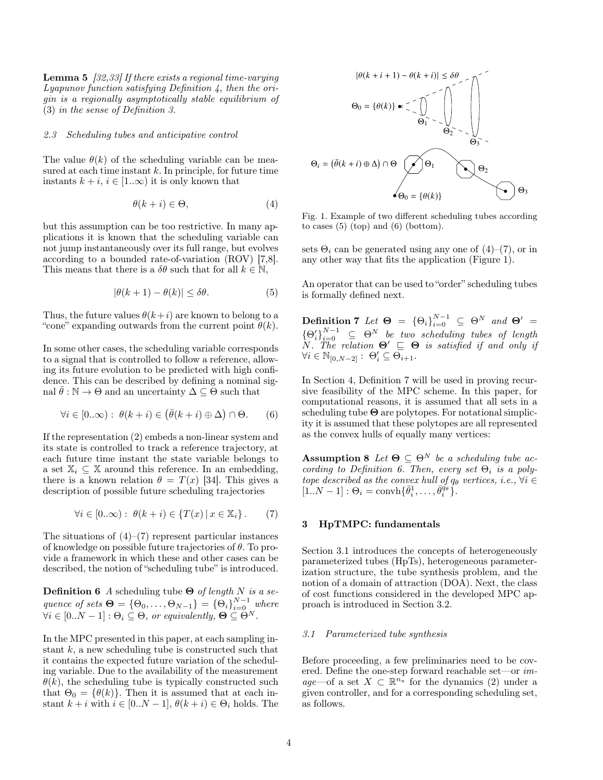Lemma 5 [32,33] If there exists a regional time-varying  $Lyapunov$  function satisfying Definition 4, then the origin is a regionally asymptotically stable equilibrium of (3) in the sense of Definition 3.

## 2.3 Scheduling tubes and anticipative control

The value  $\theta(k)$  of the scheduling variable can be measured at each time instant  $k$ . In principle, for future time instants  $k + i$ ,  $i \in [1..\infty)$  it is only known that

$$
\theta(k+i) \in \Theta,\tag{4}
$$

but this assumption can be too restrictive. In many applications it is known that the scheduling variable can not jump instantaneously over its full range, but evolves according to a bounded rate-of-variation (ROV) [7,8]. This means that there is a  $\delta\theta$  such that for all  $k \in \mathbb{N}$ ,

$$
|\theta(k+1) - \theta(k)| \le \delta\theta. \tag{5}
$$

Thus, the future values  $\theta(k+i)$  are known to belong to a "cone" expanding outwards from the current point  $\theta(k)$ .

In some other cases, the scheduling variable corresponds to a signal that is controlled to follow a reference, allowing its future evolution to be predicted with high confidence. This can be described by defining a nominal signal  $\theta : \mathbb{N} \to \Theta$  and an uncertainty  $\Delta \subseteq \Theta$  such that

$$
\forall i \in [0..\infty): \ \theta(k+i) \in (\bar{\theta}(k+i) \oplus \Delta) \cap \Theta. \tag{6}
$$

If the representation (2) embeds a non-linear system and its state is controlled to track a reference trajectory, at each future time instant the state variable belongs to a set  $\mathbb{X}_i \subseteq \mathbb{X}$  around this reference. In an embedding, there is a known relation  $\theta = T(x)$  [34]. This gives a description of possible future scheduling trajectories

$$
\forall i \in [0..\infty): \ \theta(k+i) \in \{T(x) \,|\, x \in \mathbb{X}_i\} \,. \tag{7}
$$

The situations of  $(4)$ – $(7)$  represent particular instances of knowledge on possible future trajectories of  $\theta$ . To provide a framework in which these and other cases can be described, the notion of "scheduling tube" is introduced.

**Definition 6** A scheduling tube  $\Theta$  of length N is a sequence of sets  $\mathbf{\Theta} = {\Theta_0, \ldots, \Theta_{N-1}} = {\Theta_i}_{i=0}^{N-1}$  where  $\forall i \in [0..N-1]: \Theta_i \subseteq \Theta$ , or equivalently,  $\Theta \subseteq \Theta^N$ .

In the MPC presented in this paper, at each sampling instant  $k$ , a new scheduling tube is constructed such that it contains the expected future variation of the scheduling variable. Due to the availability of the measurement  $\theta(k)$ , the scheduling tube is typically constructed such that  $\Theta_0 = {\theta(k)}$ . Then it is assumed that at each instant  $k + i$  with  $i \in [0..N-1], \theta(k+i) \in \Theta_i$  holds. The



Fig. 1. Example of two different scheduling tubes according to cases  $(5)$  (top) and  $(6)$  (bottom).

sets  $\Theta_i$  can be generated using any one of (4)–(7), or in any other way that fits the application (Figure 1).

An operator that can be used to "order" scheduling tubes is formally defined next.

**Definition 7** Let  $\Theta = {\Theta_i}_{i=0}^{N-1} \subseteq \Theta^N$  and  $\Theta' =$  ${\{\Theta'_{i}\}}_{i=0}^{N-1} \subseteq \Theta^N$  be two scheduling tubes of length  $N.$  The relation  $\Theta' \subseteq \Theta$  is satisfied if and only if  $\forall i \in \mathbb{N}_{[0,N-2]} : \Theta'_i \subseteq \overline{\Theta}_{i+1}.$ 

In Section 4, Definition 7 will be used in proving recursive feasibility of the MPC scheme. In this paper, for computational reasons, it is assumed that all sets in a scheduling tube  $\Theta$  are polytopes. For notational simplicity it is assumed that these polytopes are all represented as the convex hulls of equally many vertices:

Assumption 8 Let  $\Theta \subseteq \Theta^N$  be a scheduling tube according to Definition 6. Then, every set  $\Theta_i$  is a polytope described as the convex hull of  $q_{\theta}$  vertices, i.e.,  $\forall i \in$  $[1..N-1]: \Theta_i = \text{convh}\{\bar{\theta}_i^1, \ldots, \bar{\theta}_i^{\bar{q}_{\theta}}\}.$ 

## 3 HpTMPC: fundamentals

Section 3.1 introduces the concepts of heterogeneously parameterized tubes (HpTs), heterogeneous parameterization structure, the tube synthesis problem, and the notion of a domain of attraction (DOA). Next, the class of cost functions considered in the developed MPC approach is introduced in Section 3.2.

# 3.1 Parameterized tube synthesis

Before proceeding, a few preliminaries need to be covered. Define the one-step forward reachable set—or image—of a set  $X \subset \mathbb{R}^{n_x}$  for the dynamics (2) under a given controller, and for a corresponding scheduling set, as follows.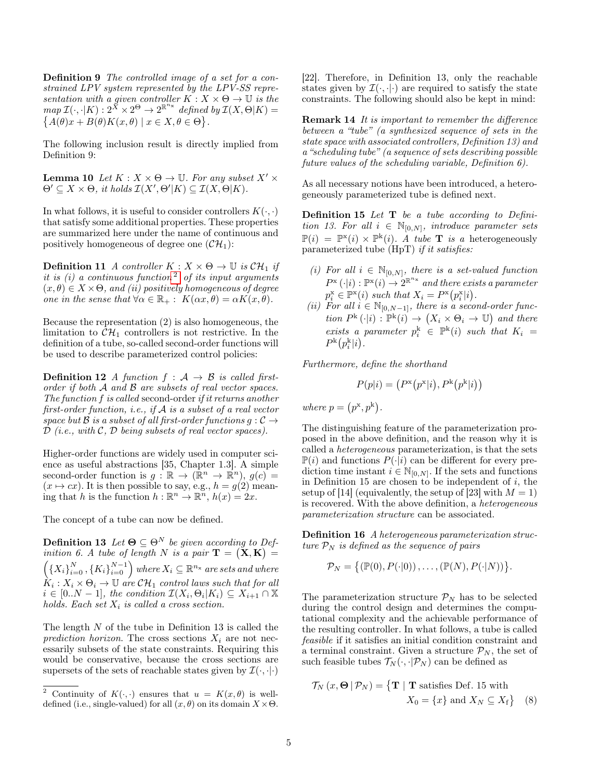Definition 9 The controlled image of a set for a constrained LPV system represented by the LPV-SS representation with a given controller  $K : X \times \Theta \to \mathbb{U}$  is the  $map \ \mathcal{I}(\cdot, \cdot | K) : 2^{\breve{X}} \times 2^{\Theta} \to 2^{\mathbb{R}^{n_{\chi}}}$  defined by  $\mathcal{I}(X, \Theta | K) =$  ${A(\theta)x + B(\theta)K(x, \theta) \mid x \in X, \theta \in \Theta}.$ 

The following inclusion result is directly implied from Definition 9:

**Lemma 10** Let  $K : X \times \Theta \rightarrow \mathbb{U}$ . For any subset  $X' \times \Theta$  $\Theta' \subseteq X \times \Theta$ , it holds  $\mathcal{I}(X', \Theta'|K) \subseteq \mathcal{I}(X, \Theta|K)$ .

In what follows, it is useful to consider controllers  $K(\cdot, \cdot)$ that satisfy some additional properties. These properties are summarized here under the name of continuous and positively homogeneous of degree one  $(\mathcal{CH}_1)$ :

**Definition 11** A controller  $K : X \times \Theta \rightarrow \mathbb{U}$  is  $\mathcal{CH}_1$  if it is  $(i)$  a continuous function<sup>[2](#page-4-0)</sup> of its input arguments  $(x, \theta) \in X \times \Theta$ , and (ii) positively homogeneous of degree one in the sense that  $\forall \alpha \in \mathbb{R}_+ : K(\alpha x, \theta) = \alpha K(x, \theta)$ .

Because the representation (2) is also homogeneous, the limitation to  $\mathcal{CH}_1$  controllers is not restrictive. In the definition of a tube, so-called second-order functions will be used to describe parameterized control policies:

**Definition 12** A function  $f : A \rightarrow B$  is called firstorder if both A and B are subsets of real vector spaces. The function f is called second-order if it returns another first-order function, *i.e.*, if  $A$  is a subset of a real vector space but  $\mathcal B$  is a subset of all first-order functions  $g: \mathcal C \to$  $D$  (i.e., with  $C$ ,  $D$  being subsets of real vector spaces).

Higher-order functions are widely used in computer science as useful abstractions [35, Chapter 1.3]. A simple second-order function is  $g: \mathbb{R} \to (\mathbb{R}^n \to \mathbb{R}^n)$ ,  $g(c) =$  $(x \mapsto cx)$ . It is then possible to say, e.g.,  $h = g(2)$  meaning that h is the function  $h : \mathbb{R}^n \to \mathbb{R}^n$ ,  $h(x) = 2x$ .

The concept of a tube can now be defined.

**Definition 13** Let  $\mathbf{\Theta} \subseteq \Theta^N$  be given according to Definition 6. A tube of length N is a pair  $\mathbf{T} = (\mathbf{X}, \mathbf{K}) =$  $(X_i)_{i=0}^N$ ,  $\{K_i\}_{i=0}^{N-1}$  where  $X_i \subseteq \mathbb{R}^{n_x}$  are sets and where  $\hat{K}_i: X_i \times \Theta_i \rightarrow \mathbb{U}$  are  $\mathcal{CH}_1$  control laws such that for all  $i \in [0..N-1]$ , the condition  $\mathcal{I}(X_i,\Theta_i|K_i) \subseteq X_{i+1} \cap \mathbb{X}$ holds. Each set  $X_i$  is called a cross section.

The length  $N$  of the tube in Definition 13 is called the prediction horizon. The cross sections  $X_i$  are not necessarily subsets of the state constraints. Requiring this would be conservative, because the cross sections are supersets of the sets of reachable states given by  $\mathcal{I}(\cdot, \cdot | \cdot)$  [22]. Therefore, in Definition 13, only the reachable states given by  $\mathcal{I}(\cdot, \cdot | \cdot)$  are required to satisfy the state constraints. The following should also be kept in mind:

Remark 14 It is important to remember the difference between a "tube" (a synthesized sequence of sets in the state space with associated controllers, Definition 13) and a "scheduling tube" (a sequence of sets describing possible future values of the scheduling variable, Definition 6).

As all necessary notions have been introduced, a heterogeneously parameterized tube is defined next.

**Definition 15** Let  $T$  be a tube according to Definition 13. For all  $i \in \mathbb{N}_{[0,N]}$ , introduce parameter sets  $\mathbb{P}(i) = \mathbb{P}^{x}(i) \times \mathbb{P}^{k}(i)$ . A tube **T** is a heterogeneously parameterized tube (HpT) if it satisfies:

- (i) For all  $i \in \mathbb{N}_{[0,N]}$ , there is a set-valued function  $P^{\text{x}}\left(\cdot|i\right): \mathbb{P}^{\text{x}}(i) \rightarrow 2^{\mathbb{R}^{n_{\text{x}}}}$  and there exists a parameter  $p_i^{\mathbf{x}} \in \mathbb{P}^{\mathbf{x}}(i)$  such that  $X_i = P^{\mathbf{x}}(p_i^{\mathbf{x}}|i)$ .
- (ii) For all  $i \in \mathbb{N}_{[0,N-1]}$ , there is a second-order function  $P^{\rm k}(\cdot|i): \mathbb{P}^{\rm k}(i) \to (X_i \times \Theta_i \to \mathbb{U})$  and there exists a parameter  $p_i^k$   $\in$   $\mathbb{P}^k(i)$  such that  $K_i$  =  $P^{\rm k}(p_i^{\rm k}|i)$ .

Furthermore, define the shorthand

$$
P(p|i) = (P^{\rm x}(p^{\rm x}|i), P^{\rm k}(p^{\rm k}|i))
$$

where  $p = (p^x, p^k)$ .

The distinguishing feature of the parameterization proposed in the above definition, and the reason why it is called a heterogeneous parameterization, is that the sets  $\mathbb{P}(i)$  and functions  $P(\cdot|i)$  can be different for every prediction time instant  $i \in \mathbb{N}_{[0,N]}$ . If the sets and functions in Definition 15 are chosen to be independent of  $i$ , the setup of [14] (equivalently, the setup of [23] with  $M = 1$ ) is recovered. With the above definition, a heterogeneous parameterization structure can be associated.

Definition 16 A heterogeneous parameterization structure  $P_N$  is defined as the sequence of pairs

$$
\mathcal{P}_N = \{(\mathbb{P}(0), P(\cdot|0)), \ldots, (\mathbb{P}(N), P(\cdot|N))\}.
$$

The parameterization structure  $\mathcal{P}_N$  has to be selected during the control design and determines the computational complexity and the achievable performance of the resulting controller. In what follows, a tube is called feasible if it satisfies an initial condition constraint and a terminal constraint. Given a structure  $\mathcal{P}_N$ , the set of such feasible tubes  $\mathcal{T}_N(\cdot, \cdot | \mathcal{P}_N)$  can be defined as

$$
\mathcal{T}_N(x, \Theta | \mathcal{P}_N) = \{ \mathbf{T} | \mathbf{T} \text{ satisfies Def. 15 with} \newline X_0 = \{x\} \text{ and } X_N \subseteq X_f \} \quad (8)
$$

<span id="page-4-0"></span><sup>&</sup>lt;sup>2</sup> Continuity of  $K(\cdot, \cdot)$  ensures that  $u = K(x, \theta)$  is welldefined (i.e., single-valued) for all  $(x, \theta)$  on its domain  $X \times \Theta$ .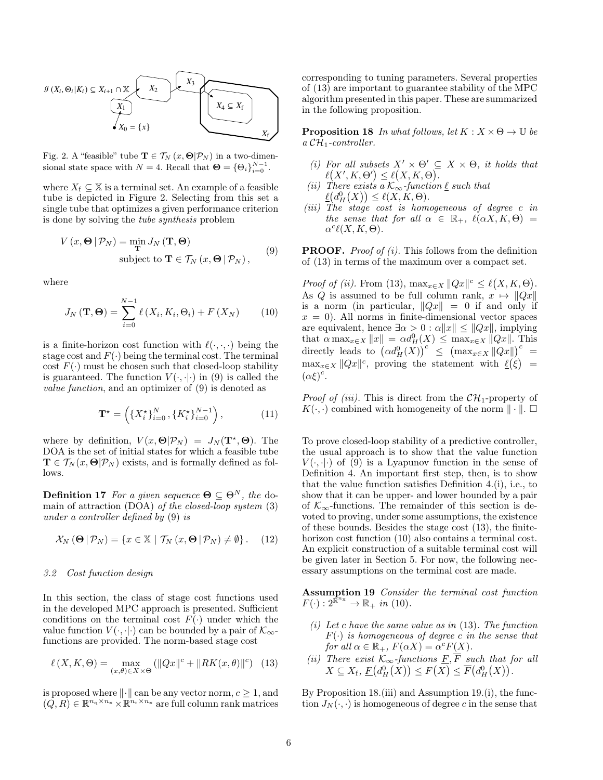

Fig. 2. A "feasible" tube  $\mathbf{T} \in \mathcal{T}_N(x, \Theta | \mathcal{P}_N)$  in a two-dimensional state space with  $N = 4$ . Recall that  $\mathbf{\Theta} = {\Theta_i}_{i=0}^{N-1}$ .

where  $X_f \subseteq \mathbb{X}$  is a terminal set. An example of a feasible tube is depicted in Figure 2. Selecting from this set a single tube that optimizes a given performance criterion is done by solving the tube synthesis problem

$$
V(x, \Theta | \mathcal{P}_N) = \min_{\mathbf{T}} J_N(\mathbf{T}, \Theta)
$$
  
subject to  $\mathbf{T} \in \mathcal{T}_N(x, \Theta | \mathcal{P}_N)$ , (9)

where

$$
J_N(\mathbf{T}, \mathbf{\Theta}) = \sum_{i=0}^{N-1} \ell(X_i, K_i, \Theta_i) + F(X_N)
$$
 (10)

is a finite-horizon cost function with  $\ell(\cdot, \cdot, \cdot)$  being the stage cost and  $F(\cdot)$  being the terminal cost. The terminal cost  $F(\cdot)$  must be chosen such that closed-loop stability is guaranteed. The function  $V(\cdot, \cdot)$  in (9) is called the value function, and an optimizer of (9) is denoted as

$$
\mathbf{T}^{\star} = \left( \{ X_i^{\star} \}_{i=0}^N, \{ K_i^{\star} \}_{i=0}^{N-1} \right), \tag{11}
$$

where by definition,  $V(x, \Theta | \mathcal{P}_N) = J_N(\mathbf{T}^*, \Theta)$ . The DOA is the set of initial states for which a feasible tube  $\mathbf{T} \in \mathcal{T}_N(x, \mathbf{\Theta} | \mathcal{P}_N)$  exists, and is formally defined as follows.

**Definition 17** For a given sequence  $\Theta \subseteq \Theta^N$ , the domain of attraction (DOA) of the closed-loop system (3) under a controller defined by (9) is

$$
\mathcal{X}_N\left(\mathbf{\Theta} \,|\, \mathcal{P}_N\right) = \{x \in \mathbb{X} \,|\, \mathcal{T}_N\left(x, \mathbf{\Theta} \,|\, \mathcal{P}_N\right) \neq \emptyset\} \,.\tag{12}
$$

# 3.2 Cost function design

In this section, the class of stage cost functions used in the developed MPC approach is presented. Sufficient conditions on the terminal cost  $F(\cdot)$  under which the value function  $V(\cdot, \cdot)$  can be bounded by a pair of  $\mathcal{K}_{\infty}$ functions are provided. The norm-based stage cost

$$
\ell(X, K, \Theta) = \max_{(x, \theta) \in X \times \Theta} \left( \|Qx\|^c + \|RK(x, \theta)\|^c \right) \tag{13}
$$

is proposed where  $\|\cdot\|$  can be any vector norm,  $c \geq 1$ , and  $(Q, R) \in \mathbb{R}^{n_q \times n_x} \times \mathbb{R}^{n_r \times n_x}$  are full column rank matrices

corresponding to tuning parameters. Several properties of (13) are important to guarantee stability of the MPC algorithm presented in this paper. These are summarized in the following proposition.

**Proposition 18** In what follows, let  $K : X \times \Theta \rightarrow \mathbb{U}$  be  $a \mathcal{CH}_1$ -controller.

- (i) For all subsets  $X' \times \Theta' \subseteq X \times \Theta$ , it holds that  $\ell(X', K, \Theta') \leq \ell(X, K, \Theta).$
- (ii) There exists  $a \overrightarrow{\mathcal{K}_{\infty}}$ -function  $\underline{\ell}$  such that  $\underline{\ell}(d_H^0(X)) \leq \ell(X, K, \Theta).$
- (iii) The stage cost is homogeneous of degree c in the sense that for all  $\alpha \in \mathbb{R}_+$ ,  $\ell(\alpha X, K, \Theta) =$  $\alpha^{c}\ell(X,K,\Theta).$

**PROOF.** Proof of  $(i)$ . This follows from the definition of (13) in terms of the maximum over a compact set.

*Proof of (ii).* From (13),  $\max_{x \in X} ||Qx||^c \le \ell(X, K, \Theta)$ . As Q is assumed to be full column rank,  $x \mapsto ||Qx||$ is a norm (in particular,  $||Qx|| = 0$  if and only if  $x = 0$ . All norms in finite-dimensional vector spaces are equivalent, hence  $\exists \alpha > 0 : \alpha ||x|| \leq ||Qx||$ , implying that  $\alpha \max_{x \in X} ||x|| = \alpha d_H^0(X) \leq \max_{x \in X} ||Qx||$ . This directly leads to  $(\alpha d_H^0(X))^c \leq (\max_{x \in X} ||Qx||)^c =$  $\max_{x \in X} ||Qx||^c$ , proving the statement with  $\ell(\xi)$  =  $(\alpha \xi)^c$ .

*Proof of (iii)*. This is direct from the  $\mathcal{CH}_1$ -property of  $K(\cdot, \cdot)$  combined with homogeneity of the norm  $\|\cdot\|$ .  $\Box$ 

To prove closed-loop stability of a predictive controller, the usual approach is to show that the value function  $V(\cdot, \cdot | \cdot)$  of (9) is a Lyapunov function in the sense of Definition 4. An important first step, then, is to show that the value function satisfies Definition 4.(i), i.e., to show that it can be upper- and lower bounded by a pair of  $\mathcal{K}_{\infty}$ -functions. The remainder of this section is devoted to proving, under some assumptions, the existence of these bounds. Besides the stage cost (13), the finitehorizon cost function (10) also contains a terminal cost. An explicit construction of a suitable terminal cost will be given later in Section 5. For now, the following necessary assumptions on the terminal cost are made.

Assumption 19 Consider the terminal cost function  $F(\cdot): 2^{\overline{\mathbb{R}}^{n_{\mathbf{x}}}} \to \mathbb{R}_+$  in (10).

- (i) Let c have the same value as in  $(13)$ . The function  $F(\cdot)$  is homogeneous of degree c in the sense that for all  $\alpha \in \mathbb{R}_+$ ,  $F(\alpha X) = \alpha^c F(X)$ .
- (ii) There exist  $\mathcal{K}_{\infty}$ -functions  $\underline{F}, F$  such that for all  $X \subseteq X_f$ ,  $\underline{F}(d_H^0(X)) \leq F(X) \leq \overline{F}(d_H^0(X)).$

By Proposition 18.(iii) and Assumption 19.(i), the function  $J_N(\cdot, \cdot)$  is homogeneous of degree c in the sense that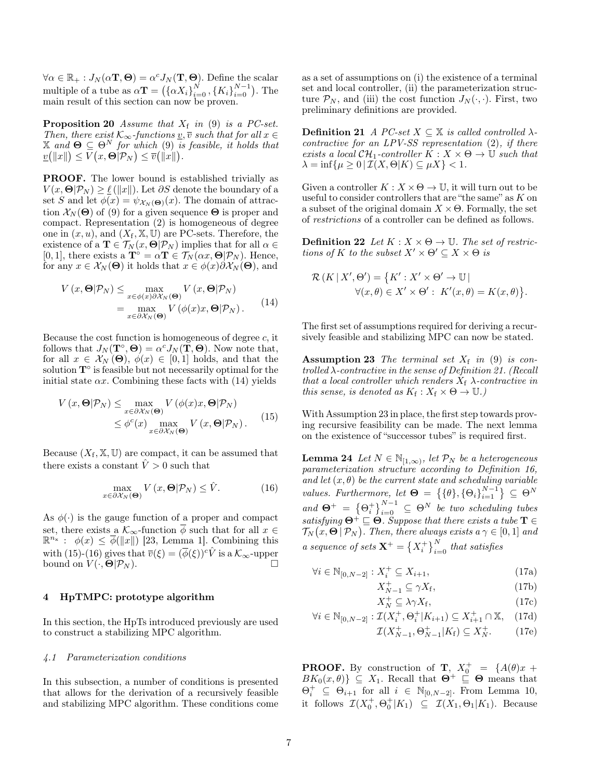$\forall \alpha \in \mathbb{R}_+ : J_N(\alpha \mathbf{T}, \mathbf{\Theta}) = \alpha^c J_N(\mathbf{T}, \mathbf{\Theta}).$  Define the scalar multiple of a tube as  $\alpha \mathbf{T} = (\{\alpha X_i\}_{i=0}^N, \{K_i\}_{i=0}^{N-1})$ . The main result of this section can now be proven.

**Proposition 20** Assume that  $X_f$  in (9) is a PC-set. Then, there exist  $\mathcal{K}_{\infty}$ -functions  $\underline{v}, \overline{v}$  such that for all  $x \in$  $\overline{X}$  and  $\Theta \subseteq \Theta^N$  for which (9) is feasible, it holds that  $\underline{v}(\Vert x \Vert) \leq V(x, \Theta | \mathcal{P}_N) \leq \overline{v}(\Vert x \Vert).$ 

PROOF. The lower bound is established trivially as  $V(x, \Theta | \mathcal{P}_N) \geq \ell(||x||)$ . Let ∂S denote the boundary of a set S and let  $\phi(x) = \psi_{\mathcal{X}_N(\Theta)}(x)$ . The domain of attraction  $\mathcal{X}_N(\Theta)$  of (9) for a given sequence  $\Theta$  is proper and compact. Representation (2) is homogeneous of degree one in  $(x, u)$ , and  $(X_f, \mathbb{X}, \mathbb{U})$  are PC-sets. Therefore, the existence of a  $\mathbf{T} \in \mathcal{T}_N(x, \mathbf{\Theta} | \mathcal{P}_N)$  implies that for all  $\alpha \in$ [0, 1], there exists a  $\mathbf{T}^{\circ} = \alpha \mathbf{T} \in \mathcal{T}_N(\alpha x, \mathbf{\Theta} | \mathcal{P}_N)$ . Hence, for any  $x \in \mathcal{X}_N(\Theta)$  it holds that  $x \in \phi(x) \partial \mathcal{X}_N(\Theta)$ , and

$$
V(x, \Theta | \mathcal{P}_N) \leq \max_{x \in \phi(x) \partial \mathcal{X}_N(\Theta)} V(x, \Theta | \mathcal{P}_N)
$$
  
= 
$$
\max_{x \in \partial \mathcal{X}_N(\Theta)} V(\phi(x)x, \Theta | \mathcal{P}_N).
$$
 (14)

Because the cost function is homogeneous of degree  $c$ , it follows that  $J_N(\mathbf{T}^\circ, \mathbf{\Theta}) = \alpha^c J_N(\mathbf{T}, \mathbf{\Theta})$ . Now note that, for all  $x \in \mathcal{X}_N(\Theta)$ ,  $\phi(x) \in [0,1]$  holds, and that the solution T<sup>°</sup> is feasible but not necessarily optimal for the initial state  $\alpha x$ . Combining these facts with (14) yields

$$
V(x, \Theta | \mathcal{P}_N) \le \max_{x \in \partial \mathcal{X}_N(\Theta)} V(\phi(x)x, \Theta | \mathcal{P}_N)
$$
  
\$\le \phi^c(x) \max\_{x \in \partial \mathcal{X}\_N(\Theta)} V(x, \Theta | \mathcal{P}\_N).\$ (15)

Because  $(X_f, \mathbb{X}, \mathbb{U})$  are compact, it can be assumed that there exists a constant  $\hat{V} > 0$  such that

$$
\max_{x \in \partial \mathcal{X}_N(\Theta)} V(x, \Theta | \mathcal{P}_N) \leq \hat{V}.
$$
 (16)

As  $\phi(\cdot)$  is the gauge function of a proper and compact set, there exists a  $\mathcal{K}_{\infty}$ -function  $\overline{\phi}$  such that for all  $x \in$  $\mathbb{R}^{n_x}$ :  $\phi(x) \leq \overline{\phi}(\|x\|)$  [23, Lemma 1]. Combining this with (15)-(16) gives that  $\overline{v}(\xi) = (\overline{\phi}(\xi))^c \hat{V}$  is a  $\mathcal{K}_{\infty}$ -upper bound on  $V(\cdot, \Theta | \mathcal{P}_N)$ .

#### 4 HpTMPC: prototype algorithm

In this section, the HpTs introduced previously are used to construct a stabilizing MPC algorithm.

# 4.1 Parameterization conditions

In this subsection, a number of conditions is presented that allows for the derivation of a recursively feasible and stabilizing MPC algorithm. These conditions come as a set of assumptions on (i) the existence of a terminal set and local controller, (ii) the parameterization structure  $\mathcal{P}_N$ , and (iii) the cost function  $J_N(\cdot, \cdot)$ . First, two preliminary definitions are provided.

**Definition 21** A PC-set  $X \subseteq \mathbb{X}$  is called controlled  $\lambda$ contractive for an LPV-SS representation  $(2)$ , if there exists a local  $\mathcal{CH}_1$ -controller  $K : X \times \Theta \rightarrow \mathbb{U}$  such that  $\lambda = \inf \{ \mu \geq 0 \mid \mathcal{I}(X, \Theta | K) \subseteq \mu X \} < 1.$ 

Given a controller  $K : X \times \Theta \to \mathbb{U}$ , it will turn out to be useful to consider controllers that are "the same" as  ${\cal K}$  on a subset of the original domain  $X \times \Theta$ . Formally, the set of restrictions of a controller can be defined as follows.

**Definition 22** Let  $K : X \times \Theta \rightarrow \mathbb{U}$ . The set of restrictions of K to the subset  $X' \times \Theta' \subseteq X \times \Theta$  is

$$
\mathcal{R}(K | X', \Theta') = \{K' : X' \times \Theta' \to \mathbb{U} \mid
$$
  

$$
\forall (x, \theta) \in X' \times \Theta' : K'(x, \theta) = K(x, \theta) \}.
$$

The first set of assumptions required for deriving a recursively feasible and stabilizing MPC can now be stated.

**Assumption 23** The terminal set  $X_f$  in (9) is controlled  $\lambda$ -contractive in the sense of Definition 21. (Recall that a local controller which renders  $X_f$   $\lambda$ -contractive in this sense, is denoted as  $K_f: X_f \times \Theta \to \mathbb{U}$ .)

With Assumption 23 in place, the first step towards proving recursive feasibility can be made. The next lemma on the existence of "successor tubes" is required first.

**Lemma 24** Let  $N \in \mathbb{N}_{[1,\infty)}$ , let  $\mathcal{P}_N$  be a heterogeneous parameterization structure according to Definition 16, and let  $(x, \theta)$  be the current state and scheduling variable values. Furthermore, let  $\Theta = \{\{\theta\}, \{\Theta_i\}_{i=1}^{N-1}\} \subseteq \Theta^N$ and  $\Theta^+ = \{\Theta_i^+\}_{i=0}^{N-1} \subseteq \Theta^N$  be two scheduling tubes satisfying  $\Theta^+ \sqsubseteq \Theta$ . Suppose that there exists a tube  $\mathbf{T} \in \Theta$  $\mathcal{T}_N(x,\mathbf{\Theta} \, | \, \mathcal{P}_N)$ . Then, there always exists a  $\gamma \in [0,1]$  and a sequence of sets  $\mathbf{X}^{+} = \left\{X_i^{+}\right\}_{i=0}^{N}$  that satisfies

$$
\forall i \in \mathbb{N}_{[0,N-2]} : X_i^+ \subseteq X_{i+1},\tag{17a}
$$

$$
X_{N-1}^{+} \subseteq \gamma X_{\rm f},\tag{17b}
$$

$$
X_N^+ \subseteq \lambda \gamma X_f,\tag{17c}
$$

$$
\forall i \in \mathbb{N}_{[0,N-2]} : \mathcal{I}(X_i^+, \Theta_i^+ | K_{i+1}) \subseteq X_{i+1}^+ \cap \mathbb{X}, \quad (17d)
$$

$$
\mathcal{I}(X_{N-1}^+, \Theta_{N-1}^+|K_{\mathbf{f}}) \subseteq X_N^+.
$$
 (17e)

**PROOF.** By construction of **T**,  $X_0^+ = \{A(\theta)x +$  $BK_0(x, \theta) \subseteq X_1$ . Recall that  $\Theta^+ \subseteq \Theta$  means that  $\Theta_i^+ \subseteq \Theta_{i+1}$  for all  $i \in \mathbb{N}_{[0,N-2]}$ . From Lemma 10, it follows  $\mathcal{I}(X_0^+, \Theta_0^+ | K_1) \subseteq \mathcal{I}(X_1, \Theta_1 | K_1)$ . Because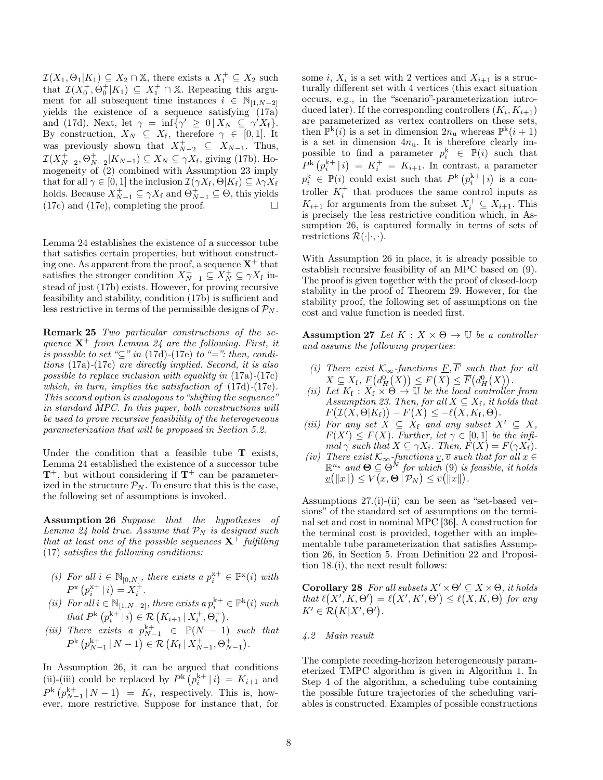$\mathcal{I}(X_1, \Theta_1 | K_1) \subseteq X_2 \cap \mathbb{X}$ , there exists a  $X_1^+ \subseteq X_2$  such that  $\mathcal{I}(X_0^+,\Theta_0^+|K_1) \subseteq X_1^+ \cap \mathbb{X}$ . Repeating this argument for all subsequent time instances  $i \in \mathbb{N}_{[1,N-2]}$ yields the existence of a sequence satisfying (17a) and (17d). Next, let  $\gamma = \inf \{ \gamma' \geq 0 \, | \, X_N \subseteq \gamma' X_f \}.$ By construction,  $X_N \subseteq X_f$ , therefore  $\gamma \in [0,1]$ . It was previously shown that  $X_{N-2}^+ \subseteq X_{N-1}$ . Thus,  $\mathcal{I}(X_{N-2}^+, \Theta_{N-2}^+ | K_{N-1}) \subseteq X_N \subseteq \gamma X_f$ , giving (17b). Homogeneity of (2) combined with Assumption 23 imply that for all  $\gamma \in [0, 1]$  the inclusion  $\mathcal{I}(\gamma X_f, \Theta | K_f) \subseteq \lambda \gamma X_f$ holds. Because  $X_{N-1}^+ \subseteq \gamma X_f$  and  $\Theta_{N-1}^+ \subseteq \Theta$ , this yields  $(17c)$  and  $(17e)$ , completing the proof.  $\Box$ 

Lemma 24 establishes the existence of a successor tube that satisfies certain properties, but without constructing one. As apparent from the proof, a sequence  $X^+$  that satisfies the stronger condition  $X_{N-1}^{\perp} \subseteq X_N^+ \subseteq \gamma X_f$  instead of just (17b) exists. However, for proving recursive feasibility and stability, condition (17b) is sufficient and less restrictive in terms of the permissible designs of  $\mathcal{P}_N$ .

Remark 25 Two particular constructions of the sequence  $X^+$  from Lemma 24 are the following. First, it is possible to set " $\subseteq$ " in (17d)-(17e) to "=": then, conditions (17a)-(17c) are directly implied. Second, it is also possible to replace inclusion with equality in (17a)-(17c) which, in turn, implies the satisfaction of  $(17d)-(17e)$ . This second option is analogous to "shifting the sequence" in standard MPC. In this paper, both constructions will be used to prove recursive feasibility of the heterogeneous parameterization that will be proposed in Section 5.2.

Under the condition that a feasible tube  $T$  exists, Lemma 24 established the existence of a successor tube  $T^+$ , but without considering if  $T^+$  can be parameterized in the structure  $\mathcal{P}_N$ . To ensure that this is the case, the following set of assumptions is invoked.

Assumption 26 Suppose that the hypotheses of Lemma 24 hold true. Assume that  $\mathcal{P}_N$  is designed such that at least one of the possible sequences  $X^+$  fulfilling (17) satisfies the following conditions:

- (i) For all  $i \in \mathbb{N}_{[0,N]}$ , there exists a  $p_i^{x+} \in \mathbb{P}^x(i)$  with  $P^{\rm x}\left(p_i^{\rm x+}\,|\,i\right)=X_i^+.$
- (ii) For all  $i \in \mathbb{N}_{[1,N-2]}$ , there exists a  $p_i^{k+} \in \mathbb{P}^k(i)$  such that  $P^k(p_i^{k+} | i) \in \mathcal{R}(K_{i+1} | X_i^+, \Theta_i^+).$
- (iii) There exists a  $p_{N-1}^{k+} \in \mathbb{P}(N-1)$  such that  $P^{\rm k}\left(p_{N-1}^{\rm k+}\,|\,N-1\right)\in\mathcal{R}\left(K_{\rm f}\,|\,X_{N-1}^+,\Theta_{N-1}^+\right).$

In Assumption 26, it can be argued that conditions (ii)-(iii) could be replaced by  $P^k (p_i^{k+} | i) = K_{i+1}$  and  $P^{\rm k}(p_{N-1}^{\rm k+}|N-1) = K_{\rm f}$ , respectively. This is, however, more restrictive. Suppose for instance that, for

some *i*,  $X_i$  is a set with 2 vertices and  $X_{i+1}$  is a structurally different set with 4 vertices (this exact situation occurs, e.g., in the "scenario"-parameterization introduced later). If the corresponding controllers  $(K_i, K_{i+1})$ are parameterized as vertex controllers on these sets, then  $\mathbb{P}^{\mathbf{k}}(i)$  is a set in dimension  $2n_{\mathbf{u}}$  whereas  $\mathbb{P}^{\mathbf{k}}(i+1)$ is a set in dimension  $4n_u$ . It is therefore clearly impossible to find a parameter  $p_i^k \in \mathbb{P}(i)$  such that  $P^{\rm k}(p_i^{\rm k+} \mid i) = K_i^+ = K_{i+1}$ . In contrast, a parameter  $p_i^k \in \mathbb{P}(i)$  could exist such that  $P^k (p_i^{k+} | i)$  is a controller  $K_i^+$  that produces the same control inputs as  $K_{i+1}$  for arguments from the subset  $X_i^+ \subseteq X_{i+1}$ . This is precisely the less restrictive condition which, in Assumption 26, is captured formally in terms of sets of restrictions  $\mathcal{R}(\cdot|\cdot,\cdot)$ .

With Assumption 26 in place, it is already possible to establish recursive feasibility of an MPC based on (9). The proof is given together with the proof of closed-loop stability in the proof of Theorem 29. However, for the stability proof, the following set of assumptions on the cost and value function is needed first.

**Assumption 27** Let  $K : X \times \Theta \rightarrow \mathbb{U}$  be a controller and assume the following properties:

- (i) There exist  $\mathcal{K}_{\infty}$ -functions  $\underline{F}, \overline{F}$  such that for all  $X \subseteq X_f$ ,  $\underline{F}(d_H^0(X)) \leq F(X) \leq \overline{F}(d_H^0(X)).$
- (ii) Let  $K_f : \overline{X}_f \times \Theta \to \overline{\mathbb{U}}$  be the local controller from Assumption 23. Then, for all  $X \subseteq X_f$ , it holds that  $F(\mathcal{I}(X,\Theta|K_{\mathrm{f}})) - F(X) \leq -\ell(X,K_{\mathrm{f}},\Theta).$
- (iii) For any set  $X \subseteq X_f$  and any subset  $X' \subseteq X$ ,  $F(X') \leq F(X)$ . Further, let  $\gamma \in [0,1]$  be the infimal  $\gamma$  such that  $X \subseteq \gamma X_f$ . Then,  $F(X) = F(\gamma X_f)$ .
- (iv) There exist  $\mathcal{K}_{\infty}$ -functions  $\underline{v}, \overline{v}$  such that for all  $x \in$  $\mathbb{R}^{n_{\mathbf{x}}}$  and  $\boldsymbol{\Theta} \subseteq \overset{\sim}{\Theta}^N$  for which (9) is feasible, it holds  $\underline{v}(\Vert x \Vert) \leq V(x, \Theta | \mathcal{P}_N) \leq \overline{v}(\Vert x \Vert).$

Assumptions 27.(i)-(ii) can be seen as "set-based versions" of the standard set of assumptions on the terminal set and cost in nominal MPC [36]. A construction for the terminal cost is provided, together with an implementable tube parameterization that satisfies Assumption 26, in Section 5. From Definition 22 and Proposition 18.(i), the next result follows:

Corollary 28 For all subsets  $X' \times \Theta' \subseteq X \times \Theta$ , it holds that  $\ell(X', K, \Theta') = \ell(X', K', \Theta') \leq \ell(X, K, \Theta)$  for any  $K' \in \mathcal{R}(K|X',\Theta').$ 

## 4.2 Main result

The complete receding-horizon heterogeneously parameterized TMPC algorithm is given in Algorithm 1. In Step 4 of the algorithm, a scheduling tube containing the possible future trajectories of the scheduling variables is constructed. Examples of possible constructions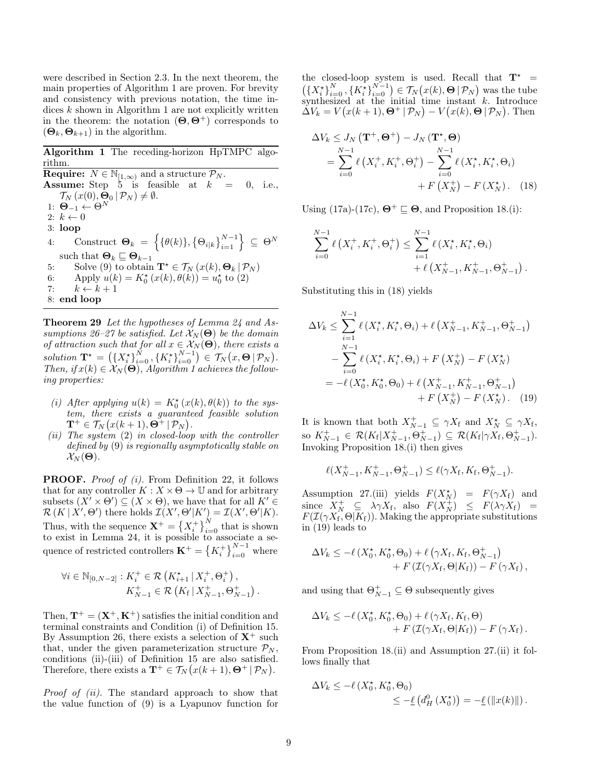were described in Section 2.3. In the next theorem, the main properties of Algorithm 1 are proven. For brevity and consistency with previous notation, the time indices  $k$  shown in Algorithm 1 are not explicitly written in the theorem: the notation  $(\Theta, \Theta^+)$  corresponds to  $(\mathbf{\Theta}_k, \mathbf{\Theta}_{k+1})$  in the algorithm.

Algorithm 1 The receding-horizon HpTMPC algorithm. **Require:**  $N \in \mathbb{N}_{[1,\infty)}$  and a structure  $\mathcal{P}_N$ . **Assume:** Step  $\overline{5}$  is feasible at  $k = 0$ , i.e.,  $\mathcal{T}_N(x(0), \bar{\mathbf{\Theta}}_0 | \mathcal{P}_N) \neq \emptyset.$ 1:  $\mathbf{\Theta}_{-1} \leftarrow \Theta^N$ 2:  $k \leftarrow 0$ 3: loop 4: Construct  $\mathbf{\Theta}_k = \left\{ \{ \theta(k) \}, \{ \Theta_{i|k} \}_{i=1}^{N-1} \right\} \subseteq \Theta^N$ such that  $\boldsymbol{\Theta}_k \sqsubseteq \boldsymbol{\Theta}_{k-1}$ 5: Solve (9) to obtain  $\mathbf{T}^* \in \mathcal{T}_N(x(k), \Theta_k | \mathcal{P}_N)$ 6: Apply  $u(k) = K_0^*(x(k), \theta(k)) = u_0^*$  to (2) 7:  $k \leftarrow k + 1$ 8: end loop

Theorem 29 Let the hypotheses of Lemma 24 and Assumptions 26–27 be satisfied. Let  $\mathcal{X}_N(\Theta)$  be the domain of attraction such that for all  $x \in \mathcal{X}_N(\Theta)$ , there exists a solution  $\mathbf{T}^* = \left( \left\{ X_i^* \right\}_{i=0}^N, \left\{ K_i^* \right\}_{i=0}^{N-1} \right) \in \mathcal{T}_N(x, \Theta | \mathcal{P}_N).$ Then, if  $x(k) \in \mathcal{X}_N(\Theta)$ , Algorithm 1 achieves the following properties:

- (i) After applying  $u(k) = K_0^{\star}(x(k), \theta(k))$  to the system, there exists a guaranteed feasible solution  $\mathbf{T}^+ \in \mathcal{T}_N(x(k+1), \mathbf{\Theta}^+ | \mathcal{P}_N).$
- (ii) The system  $(2)$  in closed-loop with the controller defined by (9) is regionally asymptotically stable on  $\mathcal{X}_N(\boldsymbol{\Theta}).$

PROOF. *Proof of (i)*. From Definition 22, it follows that for any controller  $K : X \times \Theta \to \mathbb{U}$  and for arbitrary subsets  $(X' \times \Theta') \subseteq (X \times \Theta)$ , we have that for all  $K' \in$  $\mathcal{R}(K | X', \Theta')$  there holds  $\mathcal{I}(X', \Theta'|K') = \mathcal{I}(X', \Theta'|K)$ . Thus, with the sequence  $\mathbf{X}^+ = \left\{X_i^+\right\}_{i=0}^N$  that is shown to exist in Lemma 24, it is possible to associate a sequence of restricted controllers  $\mathbf{K}^{+} = \left\{K_{i}^{+}\right\}_{i=0}^{N-1}$  where

$$
\forall i \in \mathbb{N}_{[0,N-2]} : K_i^+ \in \mathcal{R} \left( K_{i+1}^* \, | \, X_i^+, \Theta_i^+ \right),
$$
  

$$
K_{N-1}^+ \in \mathcal{R} \left( K_f \, | \, X_{N-1}^+, \Theta_{N-1}^+ \right).
$$

Then,  $\mathbf{T}^+ = (\mathbf{X}^+, \mathbf{K}^+)$  satisfies the initial condition and terminal constraints and Condition (i) of Definition 15. By Assumption 26, there exists a selection of  $X^+$  such that, under the given parameterization structure  $\mathcal{P}_N$ , conditions (ii)-(iii) of Definition 15 are also satisfied. Therefore, there exists a  $\mathbf{T}^+ \in \mathcal{T}_N(x(k+1), \Theta^+ | \mathcal{P}_N)$ .

Proof of (ii). The standard approach to show that the value function of (9) is a Lyapunov function for the closed-loop system is used. Recall that  $T^*$  =  $\left(\left\{X_i^{\star}\right\}_{i=0}^N, \left\{K_i^{\star}\right\}_{i=0}^{N-1}\right) \in \mathcal{T}_N(x(k), \Theta | \mathcal{P}_N)$  was the tube synthesized at the initial time instant  $k$ . Introduce  $\Delta V_k = V(x(k+1), \Theta^+ | \mathcal{P}_N) - V(x(k), \Theta | \mathcal{P}_N)$ . Then

$$
\Delta V_k \leq J_N \left( \mathbf{T}^+, \Theta^+ \right) - J_N \left( \mathbf{T}^*, \Theta \right)
$$
  
= 
$$
\sum_{i=0}^{N-1} \ell \left( X_i^+, K_i^+, \Theta_i^+ \right) - \sum_{i=0}^{N-1} \ell \left( X_i^*, K_i^*, \Theta_i \right)
$$
  
+ 
$$
F \left( X_N^+ \right) - F \left( X_N^* \right). \quad (18)
$$

Using (17a)-(17c),  $\mathbf{\Theta}^+ \sqsubseteq \mathbf{\Theta}$ , and Proposition 18.(i):

$$
\sum_{i=0}^{N-1} \ell\left(X_i^+, K_i^+, \Theta_i^+\right) \le \sum_{i=1}^{N-1} \ell\left(X_i^*, K_i^*, \Theta_i\right) + \ell\left(X_{N-1}^+, K_{N-1}^+, \Theta_{N-1}^+\right)
$$

.

Substituting this in (18) yields

$$
\Delta V_k \leq \sum_{i=1}^{N-1} \ell\left(X_i^\star, K_i^\star, \Theta_i\right) + \ell\left(X_{N-1}^+, K_{N-1}^+, \Theta_{N-1}^+\right) \n- \sum_{i=0}^{N-1} \ell\left(X_i^\star, K_i^\star, \Theta_i\right) + F\left(X_N^+\right) - F\left(X_N^\star\right) \n= -\ell\left(X_0^\star, K_0^\star, \Theta_0\right) + \ell\left(X_{N-1}^+, K_{N-1}^+, \Theta_{N-1}^+\right) \n+ F\left(X_N^+\right) - F\left(X_N^\star\right). \tag{19}
$$

It is known that both  $X_{N-1}^+ \subseteq \gamma X_f$  and  $X_N^* \subseteq \gamma X_f$ , so  $K_{N-1}^+ \in \mathcal{R}(K_f | X_{N-1}^+, \Theta_{N-1}^+) \subseteq \mathcal{R}(K_f | \gamma X_f, \Theta_{N-1}^+).$ Invoking Proposition 18.(i) then gives

$$
\ell(X_{N-1}^+, K_{N-1}^+, \Theta_{N-1}^+) \le \ell(\gamma X_{\mathrm{f}}, K_{\mathrm{f}}, \Theta_{N-1}^+).
$$

Assumption 27.(iii) yields  $F(X_N^{\star}) = F(\gamma X_f)$  and since  $X_N^+ \subseteq \lambda \gamma X_f$ , also  $F(X_N^+) \leq F(\lambda \gamma X_f) =$  $F(\mathcal{I}(\gamma X_f, \Theta | K_f))$ . Making the appropriate substitutions in (19) leads to

$$
\Delta V_k \le -\ell \left( X_0^\star, K_0^\star, \Theta_0 \right) + \ell \left( \gamma X_{\rm f}, K_{\rm f}, \Theta_{N-1}^+ \right) + F \left( \mathcal{I}(\gamma X_{\rm f}, \Theta | K_{\rm f}) \right) - F \left( \gamma X_{\rm f} \right),
$$

and using that  $\Theta_{N-1}^+ \subseteq \Theta$  subsequently gives

$$
\Delta V_k \le -\ell \left( X_0^\star, K_0^\star, \Theta_0 \right) + \ell \left( \gamma X_f, K_f, \Theta \right) + F \left( \mathcal{I}(\gamma X_f, \Theta | K_f) \right) - F \left( \gamma X_f \right).
$$

From Proposition 18.(ii) and Assumption 27.(ii) it follows finally that

$$
\Delta V_k \le -\ell \left( X_0^\star, K_0^\star, \Theta_0 \right) \le -\underline{\ell} \left( d_H^0 \left( X_0^\star \right) \right) = -\underline{\ell} \left( \left\| x(k) \right\| \right).
$$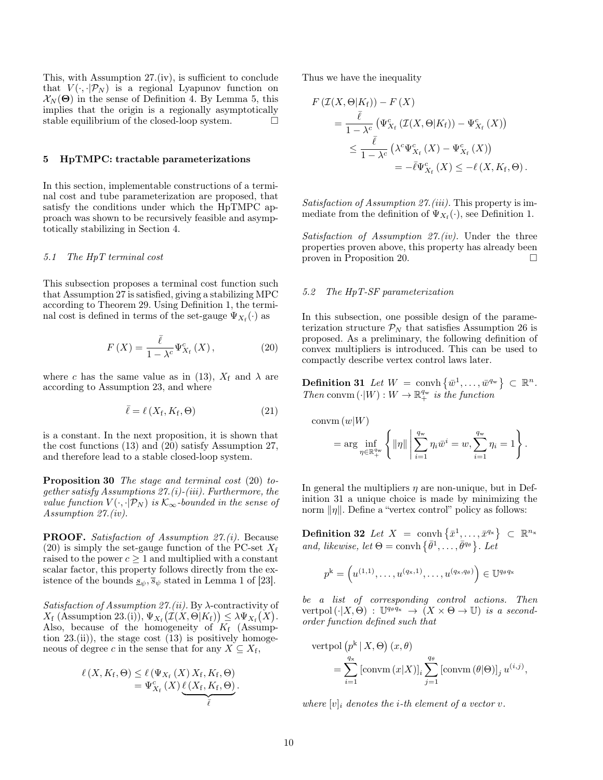This, with Assumption 27.(iv), is sufficient to conclude that  $V(\cdot, \cdot | \mathcal{P}_N)$  is a regional Lyapunov function on  $\mathcal{X}_N(\Theta)$  in the sense of Definition 4. By Lemma 5, this implies that the origin is a regionally asymptotically stable equilibrium of the closed-loop system.  $\Box$ 

#### 5 HpTMPC: tractable parameterizations

In this section, implementable constructions of a terminal cost and tube parameterization are proposed, that satisfy the conditions under which the HpTMPC approach was shown to be recursively feasible and asymptotically stabilizing in Section 4.

#### 5.1 The HpT terminal cost

This subsection proposes a terminal cost function such that Assumption 27 is satisfied, giving a stabilizing MPC according to Theorem 29. Using Definition 1, the terminal cost is defined in terms of the set-gauge  $\Psi_{X_f}(\cdot)$  as

$$
F(X) = \frac{\bar{\ell}}{1 - \lambda^c} \Psi_{X_{\mathrm{f}}}^c(X), \qquad (20)
$$

where c has the same value as in (13),  $X_f$  and  $\lambda$  are according to Assumption 23, and where

$$
\bar{\ell} = \ell\left(X_{\rm f}, K_{\rm f}, \Theta\right) \tag{21}
$$

is a constant. In the next proposition, it is shown that the cost functions (13) and (20) satisfy Assumption 27, and therefore lead to a stable closed-loop system.

Proposition 30 The stage and terminal cost (20) together satisfy Assumptions  $27.(i)-(iii)$ . Furthermore, the value function  $V(\cdot, \cdot | \mathcal{P}_N)$  is  $\mathcal{K}_{\infty}$ -bounded in the sense of Assumption 27.(iv).

PROOF. Satisfaction of Assumption 27.(i). Because (20) is simply the set-gauge function of the PC-set  $X_f$ raised to the power  $c \geq 1$  and multiplied with a constant scalar factor, this property follows directly from the existence of the bounds  $s_{\psi}, \bar{s}_{\psi}$  stated in Lemma 1 of [23].

Satisfaction of Assumption 27.(ii). By  $\lambda$ -contractivity of  $X_f$  (Assumption 23.(i)),  $\Psi_{X_f}(\mathcal{I}(X,\Theta|K_f)) \leq \lambda \Psi_{X_f}(X)$ . Also, because of the homogeneity of  $K_f$  (Assumption  $23$ .(ii)), the stage cost  $(13)$  is positively homogeneous of degree c in the sense that for any  $X \subseteq X_f$ ,

$$
\ell(X, K_f, \Theta) \leq \ell(\Psi_{X_f}(X) X_f, K_f, \Theta) \n= \Psi_{X_f}^c(X) \underbrace{\ell(X_f, K_f, \Theta)}_{\bar{\ell}}.
$$

Thus we have the inequality

$$
F(\mathcal{I}(X,\Theta|K_{\mathrm{f}})) - F(X)
$$
  
= 
$$
\frac{\bar{\ell}}{1 - \lambda^{c}} (\Psi_{X_{\mathrm{f}}}^{c}(\mathcal{I}(X,\Theta|K_{\mathrm{f}})) - \Psi_{X_{\mathrm{f}}}^{c}(X))
$$
  

$$
\leq \frac{\bar{\ell}}{1 - \lambda^{c}} (\lambda^{c} \Psi_{X_{\mathrm{f}}}^{c}(X) - \Psi_{X_{\mathrm{f}}}^{c}(X))
$$
  
= 
$$
-\bar{\ell} \Psi_{X_{\mathrm{f}}}^{c}(X) \leq -\ell(X, K_{\mathrm{f}}, \Theta).
$$

Satisfaction of Assumption 27.(iii). This property is immediate from the definition of  $\Psi_{X_{\mathrm{f}}}(\cdot)$ , see Definition 1.

Satisfaction of Assumption  $27.(iv)$ . Under the three properties proven above, this property has already been proven in Proposition 20.

## 5.2 The HpT-SF parameterization

In this subsection, one possible design of the parameterization structure  $\mathcal{P}_N$  that satisfies Assumption 26 is proposed. As a preliminary, the following definition of convex multipliers is introduced. This can be used to compactly describe vertex control laws later.

**Definition 31** Let  $W = \text{convh}\left\{\bar{w}^1, \ldots, \bar{w}^{q_w}\right\} \subset \mathbb{R}^n$ . Then convm  $(\cdot|W): W \to \mathbb{R}^{q_w}_+$  is the function

$$
\text{convm}(w|W) = \arg \inf_{\eta \in \mathbb{R}_+^{q_w}} \left\{ \|\eta\| \left| \sum_{i=1}^{q_w} \eta_i \bar{w}^i = w, \sum_{i=1}^{q_w} \eta_i = 1 \right\} \right\}
$$

.

In general the multipliers  $\eta$  are non-unique, but in Definition 31 a unique choice is made by minimizing the norm  $\|\eta\|$ . Define a "vertex control" policy as follows:

**Definition 32** Let  $X = \text{convh}\left\{\bar{x}^1, \ldots, \bar{x}^{q_x}\right\} \subset \mathbb{R}^{n_x}$ and, likewise, let  $\Theta = \text{convh} \{ \bar{\theta}^1, \ldots, \bar{\theta}^{q_\theta} \}$ . Let

$$
p^k = \left(u^{(1,1)}, \ldots, u^{(q_x,1)}, \ldots, u^{(q_x,q_\theta)}\right) \in \mathbb{U}^{q_\theta q_x}
$$

be a list of corresponding control actions. Then vertpol  $(\cdot|X,\Theta)$ : U<sup>qoqx</sup>  $\rightarrow$   $(X \times \Theta \rightarrow \mathbb{U})$  is a secondorder function defined such that

$$
\begin{aligned} \text{vertpol}\left(p^{\mathbf{k}} \,|\, X, \Theta\right)(x, \theta) \\ &= \sum_{i=1}^{q_{\mathbf{x}}} \left[ \text{convm}\left(x | X\right) \right]_i \sum_{j=1}^{q_{\theta}} \left[ \text{convm}\left(\theta | \Theta\right) \right]_j u^{(i,j)}, \end{aligned}
$$

where  $[v]_i$  denotes the *i*-th element of a vector v.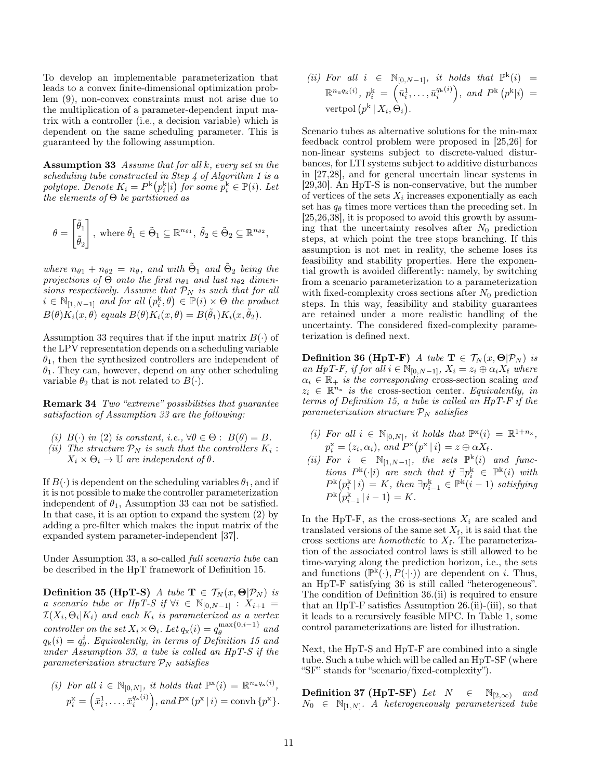To develop an implementable parameterization that leads to a convex finite-dimensional optimization problem (9), non-convex constraints must not arise due to the multiplication of a parameter-dependent input matrix with a controller (i.e., a decision variable) which is dependent on the same scheduling parameter. This is guaranteed by the following assumption.

Assumption 33 Assume that for all k, every set in the scheduling tube constructed in Step 4 of Algorithm 1 is a polytope. Denote  $K_i = P^{\rm k}(p_i^{\rm k}|i)$  for some  $p_i^{\rm k} \in \mathbb{P}(i)$ . Let the elements of  $\Theta$  be partitioned as

$$
\theta = \begin{bmatrix} \tilde{\theta}_1 \\ \tilde{\theta}_2 \end{bmatrix}, \text{ where } \tilde{\theta}_1 \in \tilde{\Theta}_1 \subseteq \mathbb{R}^{n_{\theta 1}}, \ \tilde{\theta}_2 \in \tilde{\Theta}_2 \subseteq \mathbb{R}^{n_{\theta 2}},
$$

where  $n_{\theta 1} + n_{\theta 2} = n_{\theta}$ , and with  $\tilde{\Theta}_1$  and  $\tilde{\Theta}_2$  being the projections of  $\Theta$  onto the first  $n_{\theta_1}$  and last  $n_{\theta_2}$  dimensions respectively. Assume that  $\mathcal{P}_N$  is such that for all  $i \in \mathbb{N}_{[1,N-1]}$  and for all  $(p_i^k, \theta) \in \mathbb{P}(i) \times \Theta$  the product  $B(\theta)K_i(x,\theta)$  equals  $B(\theta)K_i(x,\theta) = B(\tilde{\theta}_1)K_i(x,\tilde{\theta}_2).$ 

Assumption 33 requires that if the input matrix  $B(\cdot)$  of the LPV representation depends on a scheduling variable  $\theta_1$ , then the synthesized controllers are independent of  $\theta_1$ . They can, however, depend on any other scheduling variable  $\theta_2$  that is not related to  $B(\cdot)$ .

Remark 34 Two "extreme" possibilities that guarantee satisfaction of Assumption 33 are the following:

- (i)  $B(\cdot)$  in (2) is constant, i.e.,  $\forall \theta \in \Theta : B(\theta) = B$ . (ii) The structure  $P_N$  is such that the controllers  $K_i$ :
- $X_i \times \Theta_i \rightarrow \mathbb{U}$  are independent of  $\theta$ .

If  $B(\cdot)$  is dependent on the scheduling variables  $\theta_1$ , and if it is not possible to make the controller parameterization independent of  $\theta_1$ , Assumption 33 can not be satisfied. In that case, it is an option to expand the system (2) by adding a pre-filter which makes the input matrix of the expanded system parameter-independent [37].

Under Assumption 33, a so-called full scenario tube can be described in the HpT framework of Definition 15.

Definition 35 (HpT-S) A tube  $\mathbf{T} \in \mathcal{T}_N(x, \Theta | \mathcal{P}_N)$  is a scenario tube or HpT-S if  $\forall i \in \mathbb{N}_{[0,N-1]} : X_{i+1} =$  $\mathcal{I}(X_i, \Theta_i | K_i)$  and each  $K_i$  is parameterized as a vertex controller on the set  $X_i \times \Theta_i$ . Let  $q_x(i) = q_\theta^{\max\{0, i-1\}}$  $\int_{\theta}^{\max\{0,i-1\}}$  and  $q_{k}(i) = q_{\theta}^{i}$ . Equivalently, in terms of Definition 15 and under Assumption 33, a tube is called an HpT-S if the parameterization structure  $P_N$  satisfies

(i) For all 
$$
i \in \mathbb{N}_{[0,N]}
$$
, it holds that  $\mathbb{P}^{\mathbf{x}}(i) = \mathbb{R}^{n_{\mathbf{x}}q_{\mathbf{x}}(i)}$ ,  
\n $p_i^{\mathbf{x}} = (\bar{x}_i^1, \dots, \bar{x}_i^{q_{\mathbf{x}}(i)})$ , and  $P^{\mathbf{x}}(p^{\mathbf{x}} | i) = \text{convh }\{p^{\mathbf{x}}\}.$ 

(ii) For all  $i \in \mathbb{N}_{[0,N-1]}$ , it holds that  $\mathbb{P}^k(i) =$  $\mathbb{R}^{n_{\text{u}}q_{\text{k}}(i)},\ p_{i}^{\text{k}}\ =\ \left(\bar{u}_{i}^{1},\ldots,\bar{u}_{i}^{q_{\text{k}}(i)}\right)\!,\ and\ P^{\text{k}}\left(p^{\text{k}}|i\right)\ =$ vertpol  $(p^k | X_i, \Theta_i)$ .

Scenario tubes as alternative solutions for the min-max feedback control problem were proposed in [25,26] for non-linear systems subject to discrete-valued disturbances, for LTI systems subject to additive disturbances in [27,28], and for general uncertain linear systems in [29,30]. An HpT-S is non-conservative, but the number of vertices of the sets  $X_i$  increases exponentially as each set has  $q_{\theta}$  times more vertices than the preceding set. In  $[25,26,38]$ , it is proposed to avoid this growth by assuming that the uncertainty resolves after  $N_0$  prediction steps, at which point the tree stops branching. If this assumption is not met in reality, the scheme loses its feasibility and stability properties. Here the exponential growth is avoided differently: namely, by switching from a scenario parameterization to a parameterization with fixed-complexity cross sections after  $N_0$  prediction steps. In this way, feasibility and stability guarantees are retained under a more realistic handling of the uncertainty. The considered fixed-complexity parameterization is defined next.

**Definition 36 (HpT-F)** A tube  $\mathbf{T} \in \mathcal{T}_N(x, \Theta | \mathcal{P}_N)$  is an HpT-F, if for all  $i \in \mathbb{N}_{[0,N-1]}$ ,  $X_i = z_i \oplus \alpha_i X_f$  where  $\alpha_i \in \mathbb{R}_+$  is the corresponding cross-section scaling and  $z_i \in \mathbb{R}^{n_x}$  is the cross-section center. Equivalently, in terms of Definition 15, a tube is called an HpT-F if the parameterization structure  $\mathcal{P}_N$  satisfies

- (i) For all  $i \in \mathbb{N}_{[0,N]},$  it holds that  $\mathbb{P}^{x}(i) = \mathbb{R}^{1+n_x}$ ,  $p_i^{\rm x} = (z_i, \alpha_i)$ , and  $P^{\rm x}(p^{\rm x} | i) = z \oplus \alpha X_f$ .
- (ii) For  $i \in \mathbb{N}_{[1,N-1]}$ , the sets  $\mathbb{P}^k(i)$  and functions  $P^{\rm k}(\cdot|i)$  are such that if  $\exists p_i^{\rm k} \in \mathbb{P}^{\rm k}(i)$  with  $P^{\rm k}\bigl(p_i^{\rm k}\,|\,i\bigr)=K,\ then\ \exists p_{i-1}^{\rm k}\in\mathbb{P}^{\rm k}(i-1)\ satisfying$  $P^{\rm k}(p_{i-1}^{\rm k} | i-1) = K.$

In the HpT-F, as the cross-sections  $X_i$  are scaled and translated versions of the same set  $X_f$ , it is said that the cross sections are *homothetic* to  $X_f$ . The parameterization of the associated control laws is still allowed to be time-varying along the prediction horizon, i.e., the sets and functions  $(\mathbb{P}^{\mathsf{k}}(\cdot), P(\cdot|\cdot))$  are dependent on *i*. Thus, an HpT-F satisfying 36 is still called "heterogeneous". The condition of Definition 36.(ii) is required to ensure that an HpT-F satisfies Assumption 26.(ii)-(iii), so that it leads to a recursively feasible MPC. In Table 1, some control parameterizations are listed for illustration.

Next, the HpT-S and HpT-F are combined into a single tube. Such a tube which will be called an HpT-SF (where "SF" stands for "scenario/fixed-complexity").

**Definition 37 (HpT-SF)** Let  $N \in \mathbb{N}_{[2,\infty)}$  and  $N_0 \in \mathbb{N}_{[1,N]}$ . A heterogeneously parameterized tube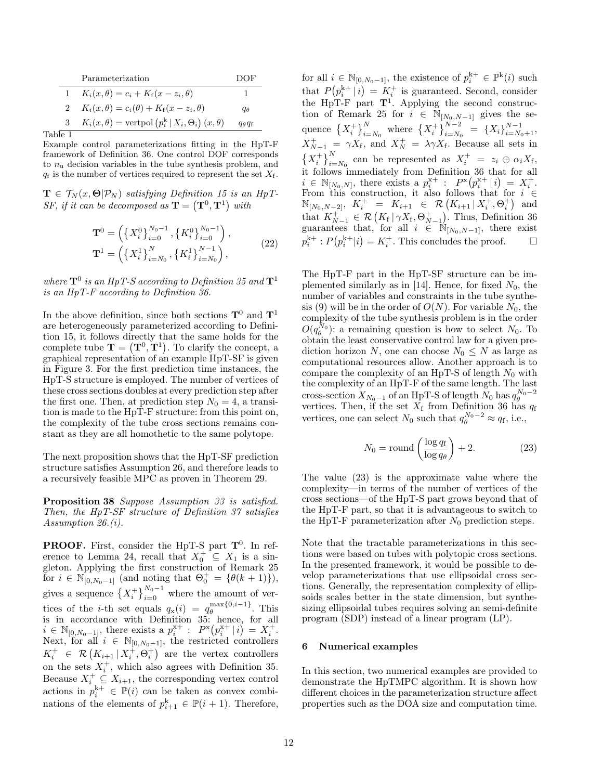|          | Parameterization                                                    | DOF.                     |
|----------|---------------------------------------------------------------------|--------------------------|
|          | $K_i(x, \theta) = c_i + K_f(x - z_i, \theta)$                       |                          |
|          | $K_i(x, \theta) = c_i(\theta) + K_f(x - z_i, \theta)$               | qθ                       |
| 3        | $K_i(x, \theta) = \text{vertpol}(p_i^k   X_i, \Theta_i)(x, \theta)$ | $q_{\theta}q_{\text{f}}$ |
| $\sim$ 1 |                                                                     |                          |

Table 1

Example control parameterizations fitting in the HpT-F framework of Definition 36. One control DOF corresponds to  $n_{\rm u}$  decision variables in the tube synthesis problem, and  $q_f$  is the number of vertices required to represent the set  $X_f$ .

 $\mathbf{T} \in \mathcal{T}_N(x, \mathbf{\Theta} | \mathcal{P}_N)$  satisfying Definition 15 is an HpT-SF, if it can be decomposed as  $\mathbf{T} = (\mathbf{T}^0, \mathbf{T}^1)$  with

$$
\mathbf{T}^{0} = \left( \left\{ X_{i}^{0} \right\}_{i=0}^{N_{0}-1}, \left\{ K_{i}^{0} \right\}_{i=0}^{N_{0}-1} \right),
$$
  

$$
\mathbf{T}^{1} = \left( \left\{ X_{i}^{1} \right\}_{i=N_{0}}^{N}, \left\{ K_{i}^{1} \right\}_{i=N_{0}}^{N-1} \right),
$$
 (22)

where  $\mathbf{T}^0$  is an HpT-S according to Definition 35 and  $\mathbf{T}^1$ is an HpT-F according to Definition 36.

In the above definition, since both sections  $\mathbf{T}^0$  and  $\mathbf{T}^1$ are heterogeneously parameterized according to Definition 15, it follows directly that the same holds for the complete tube  $\mathbf{T} = (\mathbf{T}^0, \mathbf{T}^1)$ . To clarify the concept, a graphical representation of an example HpT-SF is given in Figure 3. For the first prediction time instances, the HpT-S structure is employed. The number of vertices of these cross sections doubles at every prediction step after the first one. Then, at prediction step  $N_0 = 4$ , a transition is made to the HpT-F structure: from this point on, the complexity of the tube cross sections remains constant as they are all homothetic to the same polytope.

The next proposition shows that the HpT-SF prediction structure satisfies Assumption 26, and therefore leads to a recursively feasible MPC as proven in Theorem 29.

Proposition 38 Suppose Assumption 33 is satisfied. Then, the HpT-SF structure of Definition 37 satisfies Assumption 26.(i).

**PROOF.** First, consider the HpT-S part  $T^0$ . In reference to Lemma 24, recall that  $X_0^+ \subseteq X_1$  is a singleton. Applying the first construction of Remark 25 for  $i \in \mathbb{N}_{[0,N_0-1]}$  (and noting that  $\Theta_0^+ = {\theta(k+1)}$ ), gives a sequence  $\{X_i^+\}_{i=0}^{N_0-1}$  where the amount of vertices of the *i*-th set equals  $q_x(i) = q_\theta^{\max\{0, i-1\}}$  $\theta$ . This is in accordance with Definition 35: hence, for all  $i \in \mathbb{N}_{[0,N_0-1]},$  there exists a  $p_i^{x+}: P^x(p_i^{x+} | i) = X_i^+$ . Next, for all  $i \in \mathbb{N}_{[0,N_0-1]}$ , the restricted controllers  $K_i^+ \in \mathcal{R}\left(K_{i+1} | X_i^+, \Theta_i^+\right)$  are the vertex controllers on the sets  $X_i^+$ , which also agrees with Definition 35. Because  $X_i^+ \subseteq X_{i+1}$ , the corresponding vertex control actions in  $p_i^{k+} \in \mathbb{P}(i)$  can be taken as convex combinations of the elements of  $p_{i+1}^k \in \mathbb{P}(i+1)$ . Therefore, for all  $i \in \mathbb{N}_{[0,N_0-1]}$ , the existence of  $p_i^{k+} \in \mathbb{P}^k(i)$  such that  $P(p_i^{k+} | i) = K_i^+$  is guaranteed. Second, consider the HpT-F part  $T^1$ . Applying the second construction of Remark 25 for  $i \in \mathbb{N}_{[N_0,N-1]}$  gives the sequence  $\left\{X_i^+\right\}_{i=N_0}^N$  where  $\left\{X_i^+\right\}_{i=N_0}^{N-2} = \left\{X_i\right\}_{i=N_0+1}^{N-1}$  $X_{N-1}^+ = \gamma X_f$ , and  $X_N^+ = \lambda \gamma X_f$ . Because all sets in  $\left\{X_i^+\right\}_{i=N_0}^N$  can be represented as  $X_i^+ = z_i \oplus \alpha_i X_f$ , it follows immediately from Definition 36 that for all  $i \in \mathbb{N}_{[N_0,N]},$  there exists a  $p_i^{x+}$ :  $P^x(p_i^{x+} | i) = X_i^+$ . From this construction, it also follows that for  $i \in$  $\mathbb{N}_{[N_0,N-2]}, K_i^+ = K_{i+1} \in \mathcal{R}\left(K_{i+1} | X_i^+, \Theta_i^+\right)$  and that  $K_{N-1}^+ \in \mathcal{R}\left(K_f \mid \gamma X_f, \Theta_{N-1}^+\right)$ . Thus, Definition 36 guarantees that, for all  $i \in \mathbb{N}_{[N_0,N-1]}$ , there exist  $p_i^{k+}: P(p_i^{k+} | i) = K_i^+$ . This concludes the proof.  $\Box$ 

The HpT-F part in the HpT-SF structure can be implemented similarly as in [14]. Hence, for fixed  $N_0$ , the number of variables and constraints in the tube synthesis (9) will be in the order of  $O(N)$ . For variable  $N_0$ , the complexity of the tube synthesis problem is in the order  $O(q_\theta^{N_0})$ : a remaining question is how to select  $N_0$ . To obtain the least conservative control law for a given prediction horizon N, one can choose  $N_0 \leq N$  as large as computational resources allow. Another approach is to compare the complexity of an HpT-S of length  $N_0$  with the complexity of an HpT-F of the same length. The last cross-section  $X_{N_0-1}$  of an HpT-S of length  $N_0$  has  $q_\theta^{N_0-2}$ <br>vertices. Then, if the set  $X_f$  from Definition 36 has  $q_f$ vertices, one can select  $N_0$  such that  $q_\theta^{N_0-2} \approx q_f$ , i.e.,

$$
N_0 = \text{round}\left(\frac{\log q_f}{\log q_\theta}\right) + 2. \tag{23}
$$

The value (23) is the approximate value where the complexity—in terms of the number of vertices of the cross sections—of the HpT-S part grows beyond that of the HpT-F part, so that it is advantageous to switch to the HpT-F parameterization after  $N_0$  prediction steps.

Note that the tractable parameterizations in this sections were based on tubes with polytopic cross sections. In the presented framework, it would be possible to develop parameterizations that use ellipsoidal cross sections. Generally, the representation complexity of ellipsoids scales better in the state dimension, but synthesizing ellipsoidal tubes requires solving an semi-definite program (SDP) instead of a linear program (LP).

#### 6 Numerical examples

In this section, two numerical examples are provided to demonstrate the HpTMPC algorithm. It is shown how different choices in the parameterization structure affect properties such as the DOA size and computation time.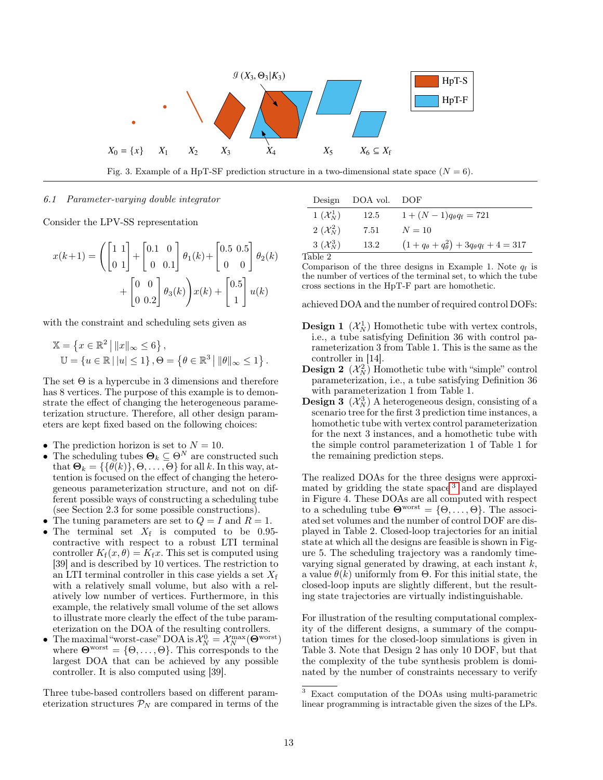

Fig. 3. Example of a HpT-SF prediction structure in a two-dimensional state space  $(N = 6)$ .

#### 6.1 Parameter-varying double integrator

Consider the LPV-SS representation

$$
x(k+1) = \left( \begin{bmatrix} 1 & 1 \\ 0 & 1 \end{bmatrix} + \begin{bmatrix} 0.1 & 0 \\ 0 & 0.1 \end{bmatrix} \theta_1(k) + \begin{bmatrix} 0.5 & 0.5 \\ 0 & 0 \end{bmatrix} \theta_2(k) + \begin{bmatrix} 0.5 & 0.5 \\ 0 & 0 \end{bmatrix} \theta_1(k) \right)
$$

$$
+ \begin{bmatrix} 0 & 0 \\ 0 & 0.2 \end{bmatrix} \theta_3(k) \mathbf{x}(k) + \begin{bmatrix} 0.5 \\ 1 \end{bmatrix} u(k)
$$

with the constraint and scheduling sets given as

$$
\mathbb{X} = \left\{ x \in \mathbb{R}^2 \mid ||x||_{\infty} \le 6 \right\},
$$
  
\n
$$
\mathbb{U} = \left\{ u \in \mathbb{R} \mid |u| \le 1 \right\}, \Theta = \left\{ \theta \in \mathbb{R}^3 \mid ||\theta||_{\infty} \le 1 \right\}.
$$

The set  $\Theta$  is a hypercube in 3 dimensions and therefore has 8 vertices. The purpose of this example is to demonstrate the effect of changing the heterogeneous parameterization structure. Therefore, all other design parameters are kept fixed based on the following choices:

- The prediction horizon is set to  $N = 10$ .
- The scheduling tubes  $\Theta_k \subseteq \Theta^N$  are constructed such that  $\mathbf{\Theta}_k = \{ \{ \hat{\theta}(k) \}, \Theta, \dots, \Theta \}$  for all k. In this way, attention is focused on the effect of changing the heterogeneous parameterization structure, and not on different possible ways of constructing a scheduling tube (see Section 2.3 for some possible constructions).
- The tuning parameters are set to  $Q = I$  and  $R = 1$ .
- The terminal set  $X_f$  is computed to be 0.95contractive with respect to a robust LTI terminal controller  $K_f(x, \theta) = K_f x$ . This set is computed using [39] and is described by 10 vertices. The restriction to an LTI terminal controller in this case yields a set  $X_f$ with a relatively small volume, but also with a relatively low number of vertices. Furthermore, in this example, the relatively small volume of the set allows to illustrate more clearly the effect of the tube parameterization on the DOA of the resulting controllers.
- The maximal "worst-case" DOA is  $\mathcal{X}_N^0 = \mathcal{X}_N^{\max}(\Theta^{\text{worst}})$ where  $\mathbf{\Theta}^{\text{worst}} = \{\Theta, \dots, \Theta\}$ . This corresponds to the largest DOA that can be achieved by any possible controller. It is also computed using [39].

Three tube-based controllers based on different parameterization structures  $P_N$  are compared in terms of the

| Design                | DOA vol. | DOF                                                         |
|-----------------------|----------|-------------------------------------------------------------|
| $1(\mathcal{X}_N^1)$  | 12.5     | $1 + (N - 1)q_{\theta}q_f = 721$                            |
| 2 $(\mathcal{X}_N^2)$ | 7.51     | $N = 10$                                                    |
| $3(\mathcal{X}_N^3)$  | 13.2     | $(1+q_{\theta}+q_{\theta}^2)+3q_{\theta}q_{\text{f}}+4=317$ |
| Table 2               |          |                                                             |

Comparison of the three designs in Example 1. Note  $q_f$  is the number of vertices of the terminal set, to which the tube cross sections in the HpT-F part are homothetic.

achieved DOA and the number of required control DOFs:

- **Design 1**  $(\mathcal{X}_N^1)$  Homothetic tube with vertex controls, i.e., a tube satisfying Definition 36 with control parameterization 3 from Table 1. This is the same as the controller in [14].
- **Design 2**  $(\mathcal{X}_N^2)$  Homothetic tube with "simple" control parameterization, i.e., a tube satisfying Definition 36 with parameterization 1 from Table 1.
- **Design 3**  $(\mathcal{X}_N^3)$  A heterogeneous design, consisting of a scenario tree for the first 3 prediction time instances, a homothetic tube with vertex control parameterization for the next 3 instances, and a homothetic tube with the simple control parameterization 1 of Table 1 for the remaining prediction steps.

The realized DOAs for the three designs were approximated by gridding the state space [3](#page-12-0) and are displayed in Figure 4. These DOAs are all computed with respect to a scheduling tube  $\Theta^{\text{worst}} = \{\Theta, \ldots, \Theta\}$ . The associated set volumes and the number of control DOF are displayed in Table 2. Closed-loop trajectories for an initial state at which all the designs are feasible is shown in Figure 5. The scheduling trajectory was a randomly timevarying signal generated by drawing, at each instant  $k$ , a value  $\theta(k)$  uniformly from  $\Theta$ . For this initial state, the closed-loop inputs are slightly different, but the resulting state trajectories are virtually indistinguishable.

For illustration of the resulting computational complexity of the different designs, a summary of the computation times for the closed-loop simulations is given in Table 3. Note that Design 2 has only 10 DOF, but that the complexity of the tube synthesis problem is dominated by the number of constraints necessary to verify

<span id="page-12-0"></span><sup>3</sup> Exact computation of the DOAs using multi-parametric linear programming is intractable given the sizes of the LPs.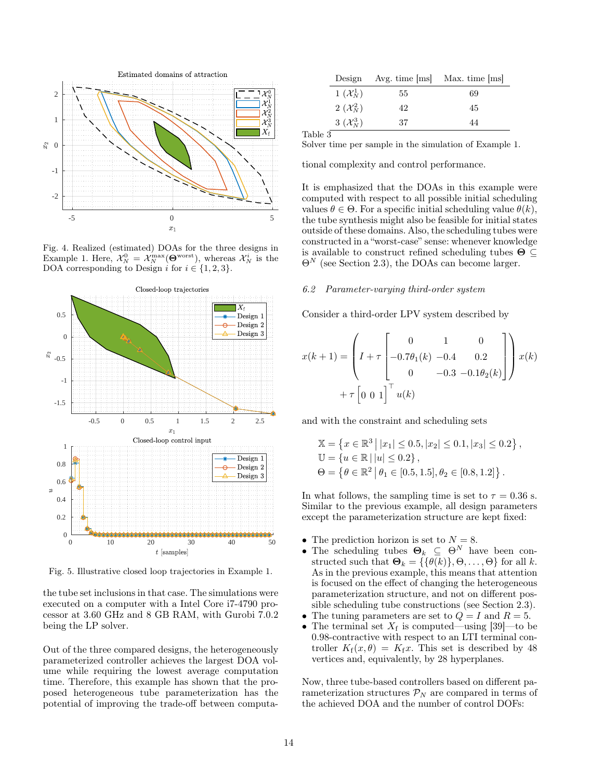

Fig. 4. Realized (estimated) DOAs for the three designs in Example 1. Here,  $\mathcal{X}_N^0 = \mathcal{X}_N^{\max}(\mathbf{\Theta}^{\text{worst}})$ , whereas  $\mathcal{X}_N^i$  is the DOA corresponding to Design i for  $i \in \{1, 2, 3\}.$ 



Fig. 5. Illustrative closed loop trajectories in Example 1.

the tube set inclusions in that case. The simulations were executed on a computer with a Intel Core i7-4790 processor at 3.60 GHz and 8 GB RAM, with Gurobi 7.0.2 being the LP solver.

Out of the three compared designs, the heterogeneously parameterized controller achieves the largest DOA volume while requiring the lowest average computation time. Therefore, this example has shown that the proposed heterogeneous tube parameterization has the potential of improving the trade-off between computa-

| Design                |    | Avg. time $ ms $ Max. time $ ms $ |
|-----------------------|----|-----------------------------------|
| $1(\mathcal{X}_N^1)$  | 55 | 69                                |
| 2 $(\mathcal{X}_N^2)$ | 42 | 45                                |
| $3(\mathcal{X}_N^3)$  | 37 | 44                                |

Table 3

Solver time per sample in the simulation of Example 1.

tional complexity and control performance.

It is emphasized that the DOAs in this example were computed with respect to all possible initial scheduling values  $\theta \in \Theta$ . For a specific initial scheduling value  $\theta(k)$ , the tube synthesis might also be feasible for initial states outside of these domains. Also, the scheduling tubes were constructed in a "worst-case" sense: whenever knowledge is available to construct refined scheduling tubes  $\Theta \subseteq$  $\Theta^N$  (see Section 2.3), the DOAs can become larger.

# 6.2 Parameter-varying third-order system

Consider a third-order LPV system described by

$$
x(k+1) = \left(I + \tau \begin{bmatrix} 0 & 1 & 0 \\ -0.7\theta_1(k) & -0.4 & 0.2 \\ 0 & -0.3 & -0.1\theta_2(k) \end{bmatrix}\right) x(k)
$$

$$
+ \tau \begin{bmatrix} 0 & 0 & 1 \end{bmatrix}^\top u(k)
$$

and with the constraint and scheduling sets

$$
\mathbb{X} = \left\{ x \in \mathbb{R}^3 \, \middle| \, |x_1| \le 0.5, |x_2| \le 0.1, |x_3| \le 0.2 \right\},\
$$
  

$$
\mathbb{U} = \left\{ u \in \mathbb{R} \, \middle| \, |u| \le 0.2 \right\},\
$$
  

$$
\Theta = \left\{ \theta \in \mathbb{R}^2 \, \middle| \, \theta_1 \in [0.5, 1.5], \theta_2 \in [0.8, 1.2] \right\}.
$$

In what follows, the sampling time is set to  $\tau = 0.36$  s. Similar to the previous example, all design parameters except the parameterization structure are kept fixed:

- The prediction horizon is set to  $N = 8$ .
- The scheduling tubes  $\Theta_k \subseteq \Theta^N$  have been constructed such that  $\mathbf{\Theta}_k = \{\{\theta(k)\}, \Theta, \dots, \Theta\}$  for all k. As in the previous example, this means that attention is focused on the effect of changing the heterogeneous parameterization structure, and not on different possible scheduling tube constructions (see Section 2.3).
- The tuning parameters are set to  $Q = I$  and  $R = 5$ .
- The terminal set  $X_f$  is computed—using [39]—to be 0.98-contractive with respect to an LTI terminal controller  $K_f(x, \theta) = K_f x$ . This set is described by 48 vertices and, equivalently, by 28 hyperplanes.

Now, three tube-based controllers based on different parameterization structures  $P_N$  are compared in terms of the achieved DOA and the number of control DOFs: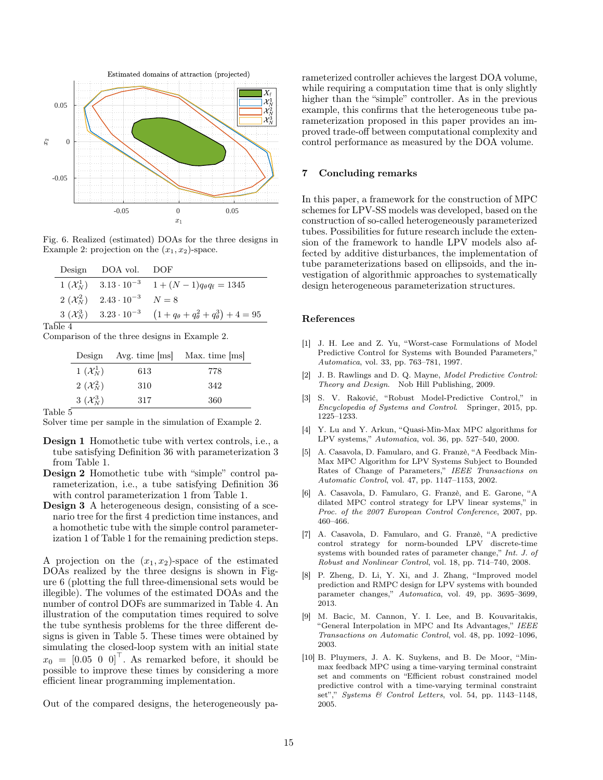

Fig. 6. Realized (estimated) DOAs for the three designs in Example 2: projection on the  $(x_1, x_2)$ -space.

|             | Design DOA vol. DOF                               |                                                                                      |
|-------------|---------------------------------------------------|--------------------------------------------------------------------------------------|
|             |                                                   | $1 (\mathcal{X}_N^1)$ $3.13 \cdot 10^{-3}$ $1 + (N-1)q_\theta q_f = 1345$            |
|             | $2(\mathcal{X}_N^2)$ $2.43 \cdot 10^{-3}$ $N = 8$ |                                                                                      |
|             |                                                   | 3 $(\mathcal{X}_N^3)$ 3.23 $\cdot 10^{-3}$ $(1+q_\theta+q_\theta^2+q_\theta^3)+4=95$ |
| $1 - 1 - 4$ |                                                   |                                                                                      |

Table 4

Comparison of the three designs in Example 2.

| Design               | Avg. time $[ms]$ | Max. time [ms] |
|----------------------|------------------|----------------|
| $1(\mathcal{X}_N^1)$ | 613              | 778            |
| $2(\mathcal{X}_N^2)$ | 310              | 342            |
| $3(\mathcal{X}_N^3)$ | 317              | 360            |

Table 5

- Design 1 Homothetic tube with vertex controls, i.e., a tube satisfying Definition 36 with parameterization 3 from Table 1.
- Design 2 Homothetic tube with "simple" control parameterization, i.e., a tube satisfying Definition 36 with control parameterization 1 from Table 1.
- Design 3 A heterogeneous design, consisting of a scenario tree for the first 4 prediction time instances, and a homothetic tube with the simple control parameterization 1 of Table 1 for the remaining prediction steps.

A projection on the  $(x_1, x_2)$ -space of the estimated DOAs realized by the three designs is shown in Figure 6 (plotting the full three-dimensional sets would be illegible). The volumes of the estimated DOAs and the number of control DOFs are summarized in Table 4. An illustration of the computation times required to solve the tube synthesis problems for the three different designs is given in Table 5. These times were obtained by simulating the closed-loop system with an initial state  $x_0 = \begin{bmatrix} 0.05 & 0 & 0 \end{bmatrix}^\top$ . As remarked before, it should be possible to improve these times by considering a more efficient linear programming implementation.

Out of the compared designs, the heterogeneously pa-

rameterized controller achieves the largest DOA volume, while requiring a computation time that is only slightly higher than the "simple" controller. As in the previous example, this confirms that the heterogeneous tube parameterization proposed in this paper provides an improved trade-off between computational complexity and control performance as measured by the DOA volume.

# 7 Concluding remarks

In this paper, a framework for the construction of MPC schemes for LPV-SS models was developed, based on the construction of so-called heterogeneously parameterized tubes. Possibilities for future research include the extension of the framework to handle LPV models also affected by additive disturbances, the implementation of tube parameterizations based on ellipsoids, and the investigation of algorithmic approaches to systematically design heterogeneous parameterization structures.

#### References

- [1] J. H. Lee and Z. Yu, "Worst-case Formulations of Model Predictive Control for Systems with Bounded Parameters," Automatica, vol. 33, pp. 763–781, 1997.
- [2] J. B. Rawlings and D. Q. Mayne, Model Predictive Control: Theory and Design. Nob Hill Publishing, 2009.
- [3] S. V. Raković, "Robust Model-Predictive Control," in Encyclopedia of Systems and Control. Springer, 2015, pp. 1225–1233.
- [4] Y. Lu and Y. Arkun, "Quasi-Min-Max MPC algorithms for LPV systems," Automatica, vol. 36, pp. 527–540, 2000.
- [5] A. Casavola, D. Famularo, and G. Franzè, "A Feedback Min-Max MPC Algorithm for LPV Systems Subject to Bounded Rates of Change of Parameters," IEEE Transactions on Automatic Control, vol. 47, pp. 1147–1153, 2002.
- [6] A. Casavola, D. Famularo, G. Franzè, and E. Garone, "A dilated MPC control strategy for LPV linear systems," in Proc. of the 2007 European Control Conference, 2007, pp. 460–466.
- [7] A. Casavola, D. Famularo, and G. Franzè, "A predictive control strategy for norm-bounded LPV discrete-time systems with bounded rates of parameter change," Int. J. of Robust and Nonlinear Control, vol. 18, pp. 714–740, 2008.
- [8] P. Zheng, D. Li, Y. Xi, and J. Zhang, "Improved model prediction and RMPC design for LPV systems with bounded parameter changes," Automatica, vol. 49, pp. 3695–3699, 2013.
- [9] M. Bacic, M. Cannon, Y. I. Lee, and B. Kouvaritakis, "General Interpolation in MPC and Its Advantages," IEEE Transactions on Automatic Control, vol. 48, pp. 1092–1096, 2003.
- [10] B. Pluymers, J. A. K. Suykens, and B. De Moor, "Minmax feedback MPC using a time-varying terminal constraint set and comments on "Efficient robust constrained model predictive control with a time-varying terminal constraint set"," Systems & Control Letters, vol. 54, pp. 1143–1148, 2005.

Solver time per sample in the simulation of Example 2.